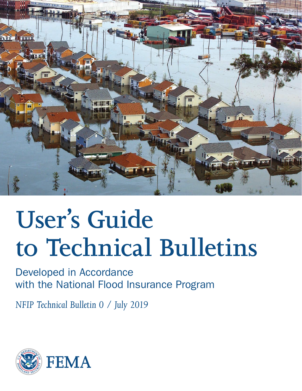

# **User's Guide to Technical Bulletins**

Developed in Accordance with the National Flood Insurance Program

*NFIP Technical Bulletin 0 / July 2019*

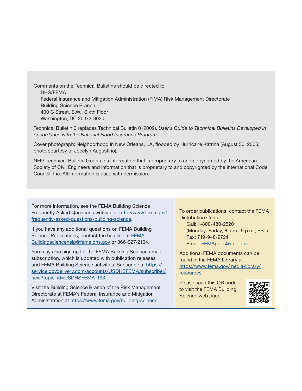Comments on the Technical Bulletins should be directed to: DHS/FEMA Federal Insurance and Mitigation Administration (FIMA) Risk Management Directorate Building Science Branch 400 C Street, S.W., Sixth Floor Washington, DC 20472-3020

Technical Bulletin 0 replaces Technical Bulletin 0 (2009), *User's Guide to Technical Bulletins Developed in Accordance with the National Flood Insurance Program.*

Cover photograph: Neighborhood in New Orleans, LA, flooded by Hurricane Katrina (August 30, 2005; photo courtesy of Jocelyn Augustino).

NFIP Technical Bulletin 0 contains information that is proprietary to and copyrighted by the American Society of Civil Engineers and information that is proprietary to and copyrighted by the International Code Council, Inc. All information is used with permission.

For more information, see the FEMA Building Science Frequently Asked Questions website at [http://www.fema.gov/](http://www.fema.gov/frequently-asked-questions-building-science) [frequently-asked-questions-building-science.](http://www.fema.gov/frequently-asked-questions-building-science)

If you have any additional questions on FEMA Building Science Publications, contact the helpline at [FEMA-](mailto:FEMA-Buildingsciencehelp@fema.dhs.gov)[Buildingsciencehelp@fema.dhs.gov](mailto:FEMA-Buildingsciencehelp@fema.dhs.gov) or 866-927-2104.

You may also sign up for the FEMA Building Science email subscription, which is updated with publication releases and FEMA Building Science activities. Subscribe at [https://](https://service.govdelivery.com/accounts/USDHSFEMA/subscriber/new?topic_id=USDHSFEMA_193) [service.govdelivery.com/accounts/USDHSFEMA/subscriber/](https://service.govdelivery.com/accounts/USDHSFEMA/subscriber/new?topic_id=USDHSFEMA_193) [new?topic\\_id=USDHSFEMA\\_193](https://service.govdelivery.com/accounts/USDHSFEMA/subscriber/new?topic_id=USDHSFEMA_193).

Visit the Building Science Branch of the Risk Management Directorate at FEMA's Federal Insurance and Mitigation Administration at <https://www.fema.gov/building-science>.

To order publications, contact the FEMA Distribution Center: Call: 1-800-480-2520

(Monday–Friday, 8 a.m.–5 p.m., EST) Fax: 719-948-9724 Email: [FEMApubs@gpo.gov](mailto:FEMApubs%40gpo.gov?subject=)

Additional FEMA documents can be found in the FEMA Library at [https://www.fema.gov/media-library/](https://www.fema.gov/media-library/resources) [resources.](https://www.fema.gov/media-library/resources)

Please scan this QR code to visit the FEMA Building Science web page.

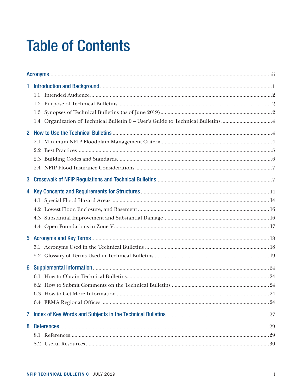## **Table of Contents**

| 1            |     |  |
|--------------|-----|--|
|              |     |  |
|              |     |  |
|              |     |  |
|              |     |  |
| $\mathbf{2}$ |     |  |
|              | 2.1 |  |
|              |     |  |
|              |     |  |
|              |     |  |
| 3            |     |  |
| 4            |     |  |
|              |     |  |
|              |     |  |
|              |     |  |
|              |     |  |
| 5            |     |  |
|              |     |  |
|              |     |  |
| 6            |     |  |
|              |     |  |
|              |     |  |
|              |     |  |
|              |     |  |
| $\mathbf{7}$ |     |  |
| 8            |     |  |
|              |     |  |
|              |     |  |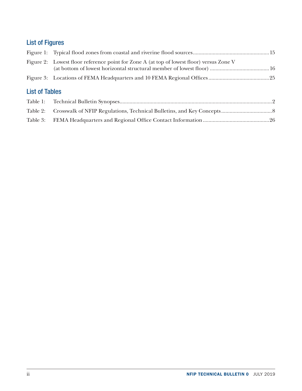### List of Figures

|                       | Figure 2: Lowest floor reference point for Zone A (at top of lowest floor) versus Zone V |  |
|-----------------------|------------------------------------------------------------------------------------------|--|
|                       |                                                                                          |  |
| <b>List of Tables</b> |                                                                                          |  |
|                       |                                                                                          |  |
|                       |                                                                                          |  |
|                       |                                                                                          |  |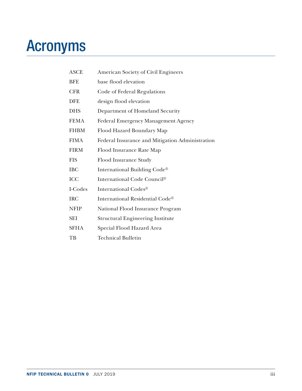## <span id="page-4-0"></span>Acronyms

| <b>ASCE</b> | <b>American Society of Civil Engineers</b>      |
|-------------|-------------------------------------------------|
| <b>BFE</b>  | base flood elevation                            |
| <b>CFR</b>  | Code of Federal Regulations                     |
| <b>DFE</b>  | design flood elevation                          |
| <b>DHS</b>  | Department of Homeland Security                 |
| <b>FEMA</b> | <b>Federal Emergency Management Agency</b>      |
| <b>FHBM</b> | Flood Hazard Boundary Map                       |
| <b>FIMA</b> | Federal Insurance and Mitigation Administration |
| <b>FIRM</b> | Flood Insurance Rate Map                        |
| <b>FIS</b>  | Flood Insurance Study                           |
| <b>IBC</b>  | International Building Code®                    |
| <b>ICC</b>  | International Code Council®                     |
| I-Codes     | International Codes®                            |
| <b>IRC</b>  | International Residential Code®                 |
| <b>NFIP</b> | National Flood Insurance Program                |
| <b>SEI</b>  | <b>Structural Engineering Institute</b>         |
| <b>SFHA</b> | Special Flood Hazard Area                       |
| TB          | <b>Technical Bulletin</b>                       |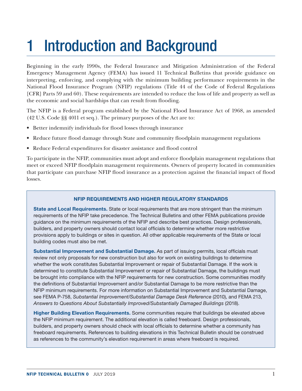## <span id="page-6-0"></span>1 Introduction and Background

Beginning in the early 1990s, the Federal Insurance and Mitigation Administration of the Federal Emergency Management Agency (FEMA) has issued 11 Technical Bulletins that provide guidance on interpreting, enforcing, and complying with the minimum building performance requirements in the National Flood Insurance Program (NFIP) regulations (Title 44 of the Code of Federal Regulations [CFR] Parts 59 and 60). These requirements are intended to reduce the loss of life and property as well as the economic and social hardships that can result from flooding.

The NFIP is a Federal program established by the National Flood Insurance Act of 1968, as amended (42 U.S. Code §§ 4011 et seq.). The primary purposes of the Act are to:

- Better indemnify individuals for flood losses through insurance
- Reduce future flood damage through State and community floodplain management regulations
- Reduce Federal expenditures for disaster assistance and flood control

To participate in the NFIP, communities must adopt and enforce floodplain management regulations that meet or exceed NFIP floodplain management requirements. Owners of property located in communities that participate can purchase NFIP flood insurance as a protection against the financial impact of flood losses.

#### NFIP REQUIREMENTS AND HIGHER REGULATORY STANDARDS

State and Local Requirements. State or local requirements that are more stringent than the minimum requirements of the NFIP take precedence. The Technical Bulletins and other FEMA publications provide guidance on the minimum requirements of the NFIP and describe best practices. Design professionals, builders, and property owners should contact local officials to determine whether more restrictive provisions apply to buildings or sites in question. All other applicable requirements of the State or local building codes must also be met.

Substantial Improvement and Substantial Damage. As part of issuing permits, local officials must review not only proposals for new construction but also for work on existing buildings to determine whether the work constitutes Substantial Improvement or repair of Substantial Damage. If the work is determined to constitute Substantial Improvement or repair of Substantial Damage, the buildings must be brought into compliance with the NFIP requirements for new construction. Some communities modify the definitions of Substantial Improvement and/or Substantial Damage to be more restrictive than the NFIP minimum requirements. For more information on Substantial Improvement and Substantial Damage, see FEMA P-758, *Substantial Improvement/Substantial Damage Desk Reference* (2010), and FEMA 213, *Answers to Questions About Substantially Improved/Substantially Damaged Buildings* (2018).

Higher Building Elevation Requirements. Some communities require that buildings be elevated above the NFIP minimum requirement. The additional elevation is called freeboard. Design professionals, builders, and property owners should check with local officials to determine whether a community has freeboard requirements. References to building elevations in this Technical Bulletin should be construed as references to the community's elevation requirement in areas where freeboard is required.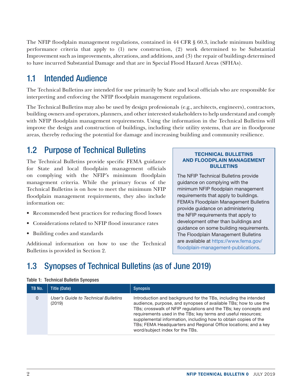<span id="page-7-0"></span>The NFIP floodplain management regulations, contained in 44 CFR § 60.3, include minimum building performance criteria that apply to (1) new construction, (2) work determined to be Substantial Improvement such as improvements, alterations, and additions, and (3) the repair of buildings determined to have incurred Substantial Damage and that are in Special Flood Hazard Areas (SFHAs).

## 1.1 Intended Audience

The Technical Bulletins are intended for use primarily by State and local officials who are responsible for interpreting and enforcing the NFIP floodplain management regulations.

The Technical Bulletins may also be used by design professionals (e.g., architects, engineers), contractors, building owners and operators, planners, and other interested stakeholders to help understand and comply with NFIP floodplain management requirements. Using the information in the Technical Bulletins will improve the design and construction of buildings, including their utility systems, that are in floodprone areas, thereby reducing the potential for damage and increasing building and community resilience.

### 1.2 Purpose of Technical Bulletins

The Technical Bulletins provide specific FEMA guidance for State and local floodplain management officials on complying with the NFIP's minimum floodplain management criteria. While the primary focus of the Technical Bulletins is on how to meet the minimum NFIP floodplain management requirements, they also include information on:

- Recommended best practices for reducing flood losses
- Considerations related to NFIP flood insurance rates
- Building codes and standards

Additional information on how to use the Technical Bulletins is provided in Section 2.

#### TECHNICAL BULLETINS AND FLOODPLAIN MANAGEMENT BULLETINS

The NFIP Technical Bulletins provide guidance on complying with the minimum NFIP floodplain management requirements that apply to buildings. FEMA's Floodplain Management Bulletins provide guidance on administering the NFIP requirements that apply to development other than buildings and guidance on some building requirements. The Floodplain Management Bulletins are available at [https://www.fema.gov/](https://www.fema.gov/floodplain-management-publications) [floodplain-management-publications.](https://www.fema.gov/floodplain-management-publications)

## 1.3 Synopses of Technical Bulletins (as of June 2019)

#### Table 1: Technical Bulletin Synopses

| TB No.   | Title (Date)                                  | <b>Synopsis</b>                                                                                                                                                                                                                                                                                                                                                                                                                                   |
|----------|-----------------------------------------------|---------------------------------------------------------------------------------------------------------------------------------------------------------------------------------------------------------------------------------------------------------------------------------------------------------------------------------------------------------------------------------------------------------------------------------------------------|
| $\Omega$ | User's Guide to Technical Bulletins<br>(2019) | Introduction and background for the TBs, including the intended<br>audience, purpose, and synopses of available TBs; how to use the<br>TBs; crosswalk of NFIP regulations and the TBs; key concepts and<br>requirements used in the TBs; key terms and useful resources;<br>supplemental information, including how to obtain copies of the<br>TBs; FEMA Headquarters and Regional Office locations; and a key<br>word/subject index for the TBs. |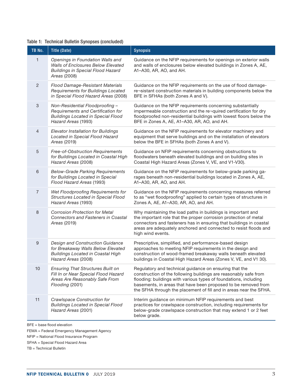### Table 1: Technical Bulletin Synopses (concluded)

| TB No.         | <b>Title (Date)</b>                                                                                                                       | <b>Synopsis</b>                                                                                                                                                                                                                                                                                                                        |
|----------------|-------------------------------------------------------------------------------------------------------------------------------------------|----------------------------------------------------------------------------------------------------------------------------------------------------------------------------------------------------------------------------------------------------------------------------------------------------------------------------------------|
| $\mathbf{1}$   | Openings in Foundation Walls and<br><b>Walls of Enclosures Below Elevated</b><br><b>Buildings in Special Flood Hazard</b><br>Areas (2008) | Guidance on the NFIP requirements for openings on exterior walls<br>and walls of enclosures below elevated buildings in Zones A, AE,<br>A1-A30, AR, AO, and AH.                                                                                                                                                                        |
| $\overline{2}$ | Flood Damage-Resistant Materials<br>Requirements for Buildings Located<br>in Special Flood Hazard Areas (2008)                            | Guidance on the NFIP requirements on the use of flood damage-<br>re-sistant construction materials in building components below the<br>BFE in SFHAs (both Zones A and V).                                                                                                                                                              |
| 3              | Non-Residential Floodproofing -<br>Requirements and Certification for<br><b>Buildings Located in Special Flood</b><br>Hazard Areas (1993) | Guidance on the NFIP requirements concerning substantially<br>impermeable construction and the re-quired certification for dry<br>floodproofed non-residential buildings with lowest floors below the<br>BFE in Zones A, AE, A1-A30, AR, AO, and AH.                                                                                   |
| $\overline{4}$ | Elevator Installation for Buildings<br>Located in Special Flood Hazard<br>Areas (2019)                                                    | Guidance on the NFIP requirements for elevator machinery and<br>equipment that serve buildings and on the installation of elevators<br>below the BFE in SFHAs (both Zones A and V).                                                                                                                                                    |
| 5              | Free-of-Obstruction Requirements<br>for Buildings Located in Coastal High<br>Hazard Areas (2008)                                          | Guidance on NFIP requirements concerning obstructions to<br>floodwaters beneath elevated buildings and on building sites in<br>Coastal High Hazard Areas (Zones V, VE, and V1-V30).                                                                                                                                                    |
| 6              | <b>Below-Grade Parking Requirements</b><br>for Buildings Located in Special<br>Flood Hazard Areas (1993)                                  | Guidance on the NFIP requirements for below-grade parking ga-<br>rages beneath non-residential buildings located in Zones A, AE,<br>A1-A30, AR, AO, and AH.                                                                                                                                                                            |
| $\overline{7}$ | Wet Floodproofing Requirements for<br>Structures Located in Special Flood<br>Hazard Areas (1993)                                          | Guidance on the NFIP requirements concerning measures referred<br>to as "wet floodproofing" applied to certain types of structures in<br>Zones A, AE, A1-A30, AR, AO, and AH.                                                                                                                                                          |
| 8              | <b>Corrosion Protection for Metal</b><br><b>Connectors and Fasteners in Coastal</b><br>Areas (2019)                                       | Why maintaining the load paths in buildings is important and<br>the important role that the proper corrosion protection of metal<br>connectors and fasteners has in ensuring that buildings in coastal<br>areas are adequately anchored and connected to resist floods and<br>high wind events.                                        |
| 9              | Design and Construction Guidance<br>for Breakaway Walls Below Elevated<br><b>Buildings Located in Coastal High</b><br>Hazard Areas (2008) | Prescriptive, simplified, and performance-based design<br>approaches to meeting NFIP requirements in the design and<br>construction of wood-framed breakaway walls beneath elevated<br>buildings in Coastal High Hazard Areas (Zones V, VE, and V1 30).                                                                                |
| 10             | <b>Ensuring That Structures Built on</b><br>Fill In or Near Special Flood Hazard<br>Areas Are Reasonably Safe From<br>Flooding (2001)     | Regulatory and technical guidance on ensuring that the<br>construction of the following buildings are reasonably safe from<br>flooding: buildings with various types of foundations, including<br>basements, in areas that have been proposed to be removed from<br>the SFHA through the placement of fill and in areas near the SFHA. |
| 11             | Crawlspace Construction for<br><b>Buildings Located in Special Flood</b><br>Hazard Areas (2001)                                           | Interim guidance on minimum NFIP requirements and best<br>practices for crawlspace construction, including requirements for<br>below-grade crawlspace construction that may extend 1 or 2 feet<br>below grade.                                                                                                                         |

BFE = base flood elevation

FEMA = Federal Emergency Management Agency

NFIP = National Flood Insurance Program

SFHA = Special Flood Hazard Area

TB = Technical Bulletin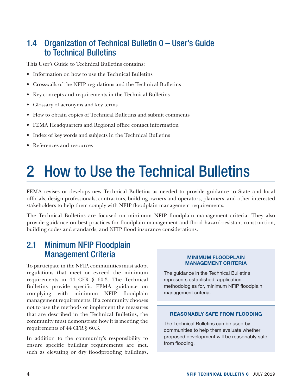## <span id="page-9-0"></span>1.4 Organization of Technical Bulletin 0 – User's Guide to Technical Bulletins

This User's Guide to Technical Bulletins contains:

- Information on how to use the Technical Bulletins
- Crosswalk of the NFIP regulations and the Technical Bulletins
- Key concepts and requirements in the Technical Bulletins
- Glossary of acronyms and key terms
- How to obtain copies of Technical Bulletins and submit comments
- FEMA Headquarters and Regional office contact information
- Index of key words and subjects in the Technical Bulletins
- References and resources

## 2 How to Use the Technical Bulletins

FEMA revises or develops new Technical Bulletins as needed to provide guidance to State and local officials, design professionals, contractors, building owners and operators, planners, and other interested stakeholders to help them comply with NFIP floodplain management requirements.

The Technical Bulletins are focused on minimum NFIP floodplain management criteria. They also provide guidance on best practices for floodplain management and flood hazard-resistant construction, building codes and standards, and NFIP flood insurance considerations.

### 2.1 Minimum NFIP Floodplain Management Criteria

To participate in the NFIP, communities must adopt regulations that meet or exceed the minimum requirements in 44 CFR § 60.3. The Technical Bulletins provide specific FEMA guidance on complying with minimum NFIP floodplain management requirements. If a community chooses not to use the methods or implement the measures that are described in the Technical Bulletins, the community must demonstrate how it is meeting the requirements of 44 CFR § 60.3.

In addition to the community's responsibility to ensure specific building requirements are met, such as elevating or dry floodproofing buildings,

#### MINIMUM FLOODPLAIN MANAGEMENT CRITERIA

The guidance in the Technical Bulletins represents established, application methodologies for, minimum NFIP floodplain management criteria.

#### REASONABLY SAFE FROM FLOODING

The Technical Bulletins can be used by communities to help them evaluate whether proposed development will be reasonably safe from flooding.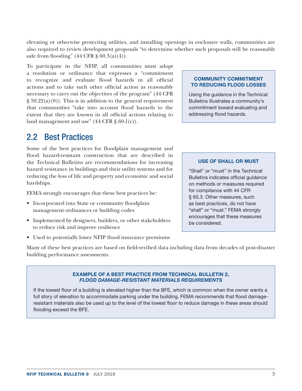<span id="page-10-0"></span>elevating or otherwise protecting utilities, and installing openings in enclosure walls, communities are also required to review development proposals "to determine whether such proposals will be reasonably safe from flooding"  $(44 \text{ CFR } \S 60.3(a)(4))$ .

To participate in the NFIP, all communities must adopt a resolution or ordinance that expresses a "commitment to recognize and evaluate flood hazards in all official actions and to take such other official action as reasonably necessary to carry out the objectives of the program" (44 CFR  $\S 59.22(a)(8)$ . This is in addition to the general requirement that communities "take into account flood hazards to the extent that they are known in all official actions relating to land management and use"  $(44 \text{ CFR} \text{ s } 60.1(c))$ .

### 2.2 Best Practices

Some of the best practices for floodplain management and flood hazard-resistant construction that are described in the Technical Bulletins are recommendations for increasing hazard resistance in buildings and their utility systems and for reducing the loss of life and property and economic and social hardships.

FEMA strongly encourages that these best practices be:

- Incorporated into State or community floodplain management ordinances or building codes
- Implemented by designers, builders, or other stakeholders to reduce risk and improve resilience
- Used to potentially lower NFIP flood insurance premiums

Many of these best practices are based on field-verified data including data from decades of post-disaster building performance assessments.

#### EXAMPLE OF A BEST PRACTICE FROM TECHNICAL BULLETIN 2, *FLOOD DAMAGE-RESISTANT MATERIALS REQUIREMENTS*

If the lowest floor of a building is elevated higher than the BFE, which is common when the owner wants a full story of elevation to accommodate parking under the building, FEMA recommends that flood damageresistant materials also be used up to the level of the lowest floor to reduce damage in these areas should flooding exceed the BFE.

#### COMMUNITY COMMITMENT TO REDUCING FLOOD LOSSES

Using the guidance in the Technical Bulletins illustrates a community's commitment toward evaluating and addressing flood hazards.

#### USE OF SHALL OR MUST

"Shall" or "must" in the Technical Bulletins indicates official guidance on methods or measures required for compliance with 44 CFR § 60.3. Other measures, such as best practices, do not have "shall" or "must." FEMA strongly encourages that these measures be considered.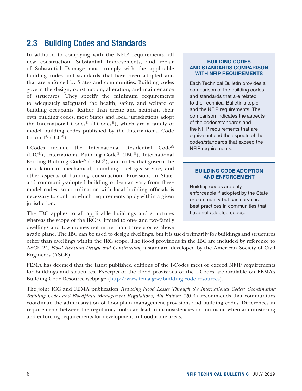### <span id="page-11-0"></span>2.3 Building Codes and Standards

In addition to complying with the NFIP requirements, all new construction, Substantial Improvements, and repair of Substantial Damage must comply with the applicable building codes and standards that have been adopted and that are enforced by States and communities. Building codes govern the design, construction, alteration, and maintenance of structures. They specify the minimum requirements to adequately safeguard the health, safety, and welfare of building occupants. Rather than create and maintain their own building codes, most States and local jurisdictions adopt the International Codes® (I-Codes®), which are a family of model building codes published by the International Code Council® (ICC®).

I-Codes include the International Residential Code® (IRC®), International Building Code® (IBC®), International Existing Building Code® (IEBC®), and codes that govern the installation of mechanical, plumbing, fuel gas service, and other aspects of building construction. Provisions in Stateand community-adopted building codes can vary from these model codes, so coordination with local building officials is necessary to confirm which requirements apply within a given jurisdiction.

The IBC applies to all applicable buildings and structures whereas the scope of the IRC is limited to one- and two-family dwellings and townhomes not more than three stories above

#### BUILDING CODES AND STANDARDS COMPARISON WITH NFIP REQUIREMENTS

Each Technical Bulletin provides a comparison of the building codes and standards that are related to the Technical Bulletin's topic and the NFIP requirements. The comparison indicates the aspects of the codes/standards and the NFIP requirements that are equivalent and the aspects of the codes/standards that exceed the NFIP requirements.

#### BUILDING CODE ADOPTION AND ENFORCEMENT

Building codes are only enforceable if adopted by the State or community but can serve as best practices in communities that have not adopted codes.

grade plane. The IBC can be used to design dwellings, but it is used primarily for buildings and structures other than dwellings within the IRC scope. The flood provisions in the IBC are included by reference to ASCE 24, *Flood Resistant Design and Construction,* a standard developed by the American Society of Civil Engineers (ASCE).

FEMA has deemed that the latest published editions of the I-Codes meet or exceed NFIP requirements for buildings and structures. Excerpts of the flood provisions of the I-Codes are available on FEMA's Building Code Resource webpage [\(http://www.fema.gov/building-code-resources\)](http://www.fema.gov/building-code-resources).

The joint ICC and FEMA publication *Reducing Flood Losses Through the International Codes: Coordinating Building Codes and Floodplain Management Regulations, 4th Edition* (2014) recommends that communities coordinate the administration of floodplain management provisions and building codes. Differences in requirements between the regulatory tools can lead to inconsistencies or confusion when administering and enforcing requirements for development in floodprone areas.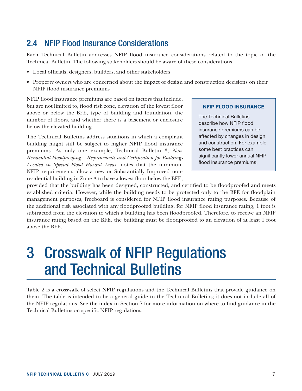## <span id="page-12-0"></span>2.4 NFIP Flood Insurance Considerations

Each Technical Bulletin addresses NFIP flood insurance considerations related to the topic of the Technical Bulletin. The following stakeholders should be aware of these considerations:

- Local officials, designers, builders, and other stakeholders
- Property owners who are concerned about the impact of design and construction decisions on their NFIP flood insurance premiums

NFIP flood insurance premiums are based on factors that include, but are not limited to, flood risk zone, elevation of the lowest floor above or below the BFE, type of building and foundation, the number of floors, and whether there is a basement or enclosure below the elevated building.

The Technical Bulletins address situations in which a compliant building might still be subject to higher NFIP flood insurance premiums. As only one example, Technical Bulletin 3, *Non-Residential Floodproofing – Requirements and Certification for Buildings Located in Special Flood Hazard Areas,* notes that the minimum NFIP requirements allow a new or Substantially Improved nonresidential building in Zone A to have a lowest floor below the BFE,

#### NFIP FLOOD INSURANCE

The Technical Bulletins describe how NFIP flood insurance premiums can be affected by changes in design and construction. For example, some best practices can significantly lower annual NFIP flood insurance premiums.

provided that the building has been designed, constructed, and certified to be floodproofed and meets established criteria. However, while the building needs to be protected only to the BFE for floodplain management purposes, freeboard is considered for NFIP flood insurance rating purposes. Because of the additional risk associated with any floodproofed building, for NFIP flood insurance rating, 1 foot is subtracted from the elevation to which a building has been floodproofed. Therefore, to receive an NFIP insurance rating based on the BFE, the building must be floodproofed to an elevation of at least 1 foot above the BFE.

## 3 Crosswalk of NFIP Regulations and Technical Bulletins

Table 2 is a crosswalk of select NFIP regulations and the Technical Bulletins that provide guidance on them. The table is intended to be a general guide to the Technical Bulletins; it does not include all of the NFIP regulations. See the index in Section 7 for more information on where to find guidance in the Technical Bulletins on specific NFIP regulations.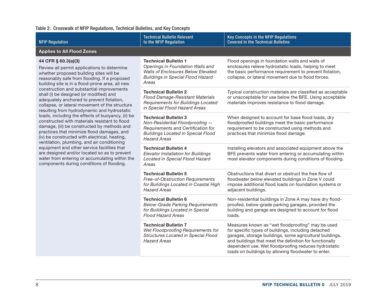#### <span id="page-13-0"></span>Table 2: Crosswalk of NFIP Regulations, Technical Bulletins, and Key Concepts

| <b>NFIP Regulation</b>                                                                                                                                                                                                                                                                          | <b>Technical Bulletin Relevant</b><br>to the NFIP Regulation                                                                                                             | Key Concepts in the NFIP Regulations<br><b>Covered in the Technical Bulletins</b>                                                                                                                                                                                                                                                              |  |  |  |
|-------------------------------------------------------------------------------------------------------------------------------------------------------------------------------------------------------------------------------------------------------------------------------------------------|--------------------------------------------------------------------------------------------------------------------------------------------------------------------------|------------------------------------------------------------------------------------------------------------------------------------------------------------------------------------------------------------------------------------------------------------------------------------------------------------------------------------------------|--|--|--|
| <b>Applies to All Flood Zones</b>                                                                                                                                                                                                                                                               |                                                                                                                                                                          |                                                                                                                                                                                                                                                                                                                                                |  |  |  |
| 44 CFR § 60.3(a)(3)<br>Review all permit applications to determine<br>whether proposed building sites will be<br>reasonably safe from flooding. If a proposed<br>building site is in a flood-prone area, all new                                                                                | <b>Technical Bulletin 1</b><br>Openings in Foundation Walls and<br>Walls of Enclosures Below Elevated<br><b>Buildings in Special Flood Hazard</b><br>Areas               | Flood openings in foundation walls and walls of<br>enclosures relieve hydrostatic loads, helping to meet<br>the basic performance requirement to prevent flotation,<br>collapse, or lateral movement due to flood forces.                                                                                                                      |  |  |  |
| construction and substantial improvements<br>shall (i) be designed (or modified) and<br>adequately anchored to prevent flotation,<br>collapse, or lateral movement of the structure<br>resulting from hydrodynamic and hydrostatic                                                              | <b>Technical Bulletin 2</b><br>Flood Damage-Resistant Materials<br>Requirements for Buildings Located<br>in Special Flood Hazard Areas                                   | Typical construction materials are classified as acceptable<br>or unacceptable for use below the BFE. Using acceptable<br>materials improves resistance to flood damage.                                                                                                                                                                       |  |  |  |
| loads, including the effects of buoyancy, (ii) be<br>constructed with materials resistant to flood<br>damage, (iii) be constructed by methods and<br>practices that minimize flood damages, and<br>(iv) be constructed with electrical, heating,<br>ventilation, plumbing, and air conditioning | <b>Technical Bulletin 3</b><br>Non-Residential Floodproofing -<br>Requirements and Certification for<br><b>Buildings Located in Special Flood</b><br><b>Hazard Areas</b> | When designed to account for base flood loads, dry<br>floodproofed buildings meet the basic performance<br>requirement to be constructed using methods and<br>practices that minimize flood damage.                                                                                                                                            |  |  |  |
| equipment and other service facilities that<br>are designed and/or located so as to prevent<br>water from entering or accumulating within the<br>components during conditions of flooding.                                                                                                      | <b>Technical Bulletin 4</b><br>Elevator Installation for Buildings<br>Located in Special Flood Hazard<br>Areas                                                           | Installing elevators and associated equipment above the<br>BFE prevents water from entering or accumulating within<br>most elevator components during conditions of flooding.                                                                                                                                                                  |  |  |  |
|                                                                                                                                                                                                                                                                                                 | <b>Technical Bulletin 5</b><br>Free-of-Obstruction Requirements<br>for Buildings Located in Coastal High<br><b>Hazard Areas</b>                                          | Obstructions that divert or obstruct the free flow of<br>floodwater below elevated buildings in Zone V could<br>impose additional flood loads on foundation systems or<br>adjacent buildings.                                                                                                                                                  |  |  |  |
|                                                                                                                                                                                                                                                                                                 | <b>Technical Bulletin 6</b><br><b>Below-Grade Parking Requirements</b><br>for Buildings Located in Special<br><b>Flood Hazard Areas</b>                                  | Non-residential buildings in Zone A may have dry flood-<br>proofed, below-grade parking garages, provided the<br>building and garage are designed to account for flood<br>loads.                                                                                                                                                               |  |  |  |
|                                                                                                                                                                                                                                                                                                 | <b>Technical Bulletin 7</b><br>Wet Floodproofing Requirements for<br>Structures Located in Special Flood<br><b>Hazard Areas</b>                                          | Measures known as "wet floodproofing" may be used<br>for specific types of buildings, including detached<br>garages, storage buildings, some agricultural buildings,<br>and buildings that meet the definition for functionally<br>dependent use. Wet floodproofing reduces hydrostatic<br>loads on buildings by allowing floodwater to enter. |  |  |  |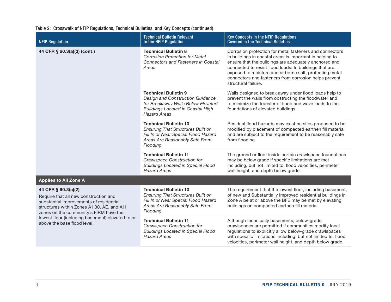|  | Table 2: Crosswalk of NFIP Regulations, Technical Bulletins, and Key Concepts (continued) |  |  |  |  |  |  |
|--|-------------------------------------------------------------------------------------------|--|--|--|--|--|--|
|--|-------------------------------------------------------------------------------------------|--|--|--|--|--|--|

| <b>NFIP Regulation</b>                                                                                                                                                                         | <b>Technical Bulletin Relevant</b><br>to the NFIP Regulation                                                                                                             | <b>Key Concepts in the NFIP Regulations</b><br><b>Covered in the Technical Bulletins</b>                                                                                                                                                                                                                                                                                          |
|------------------------------------------------------------------------------------------------------------------------------------------------------------------------------------------------|--------------------------------------------------------------------------------------------------------------------------------------------------------------------------|-----------------------------------------------------------------------------------------------------------------------------------------------------------------------------------------------------------------------------------------------------------------------------------------------------------------------------------------------------------------------------------|
| 44 CFR § 60.3(a)(3) (cont.)                                                                                                                                                                    | <b>Technical Bulletin 8</b><br><b>Corrosion Protection for Metal</b><br><b>Connectors and Fasteners in Coastal</b><br>Areas                                              | Corrosion protection for metal fasteners and connectors<br>in buildings in coastal areas is important in helping to<br>ensure that the buildings are adequately anchored and<br>connected to resist flood loads. In buildings that are<br>exposed to moisture and airborne salt, protecting metal<br>connectors and fasteners from corrosion helps prevent<br>structural failure. |
|                                                                                                                                                                                                | <b>Technical Bulletin 9</b><br>Design and Construction Guidance<br>for Breakaway Walls Below Elevated<br><b>Buildings Located in Coastal High</b><br><b>Hazard Areas</b> | Walls designed to break away under flood loads help to<br>prevent the walls from obstructing the floodwater and<br>to minimize the transfer of flood and wave loads to the<br>foundations of elevated buildings.                                                                                                                                                                  |
|                                                                                                                                                                                                | <b>Technical Bulletin 10</b><br><b>Ensuring That Structures Built on</b><br>Fill In or Near Special Flood Hazard<br>Areas Are Reasonably Safe From<br>Flooding           | Residual flood hazards may exist on sites proposed to be<br>modified by placement of compacted earthen fill material<br>and are subject to the requirement to be reasonably safe<br>from flooding.                                                                                                                                                                                |
|                                                                                                                                                                                                | <b>Technical Bulletin 11</b><br><b>Crawlspace Construction for</b><br><b>Buildings Located in Special Flood</b><br><b>Hazard Areas</b>                                   | The ground or floor inside certain crawlspace foundations<br>may be below grade if specific limitations are met<br>including, but not limited to, flood velocities, perimeter<br>wall height, and depth below grade.                                                                                                                                                              |
| <b>Applies to All Zone A</b>                                                                                                                                                                   |                                                                                                                                                                          |                                                                                                                                                                                                                                                                                                                                                                                   |
| 44 CFR § 60.3(c)(2)<br>Require that all new construction and<br>substantial improvements of residential<br>structures within Zones A1 30, AE, and AH<br>zones on the community's FIRM have the | <b>Technical Bulletin 10</b><br><b>Ensuring That Structures Built on</b><br>Fill In or Near Special Flood Hazard<br>Areas Are Reasonably Safe From<br>Flooding           | The requirement that the lowest floor, including basement,<br>of new and Substantially Improved residential buildings in<br>Zone A be at or above the BFE may be met by elevating<br>buildings on compacted earthen fill material.                                                                                                                                                |
| lowest floor (including basement) elevated to or<br>above the base flood level.                                                                                                                | <b>Technical Bulletin 11</b><br><b>Crawlspace Construction for</b><br><b>Buildings Located in Special Flood</b><br><b>Hazard Areas</b>                                   | Although technically basements, below-grade<br>crawlspaces are permitted if communities modify local<br>regulations to explicitly allow below-grade crawlspaces<br>with specific limitations including, but not limited to, flood<br>velocities, perimeter wall height, and depth below grade.                                                                                    |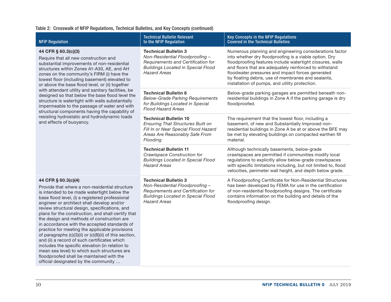#### Table 2: Crosswalk of NFIP Regulations, Technical Bulletins, and Key Concepts (continued)

| <b>NFIP Regulation</b>                                                                                                                                                                                                                                                                                                                                                                                                                                                                                                                                                                                                                                                                                                                                                          | <b>Technical Bulletin Relevant</b><br>to the NFIP Regulation                                                                                                             | Key Concepts in the NFIP Regulations<br><b>Covered in the Technical Bulletins</b>                                                                                                                                                                                                                                                                                                                    |
|---------------------------------------------------------------------------------------------------------------------------------------------------------------------------------------------------------------------------------------------------------------------------------------------------------------------------------------------------------------------------------------------------------------------------------------------------------------------------------------------------------------------------------------------------------------------------------------------------------------------------------------------------------------------------------------------------------------------------------------------------------------------------------|--------------------------------------------------------------------------------------------------------------------------------------------------------------------------|------------------------------------------------------------------------------------------------------------------------------------------------------------------------------------------------------------------------------------------------------------------------------------------------------------------------------------------------------------------------------------------------------|
| 44 CFR § 60.3(c)(3)<br>Require that all new construction and<br>substantial improvements of non-residential<br>structures within Zones A1-A30, AE, and AH<br>zones on the community's FIRM (i) have the<br>lowest floor (including basement) elevated to<br>or above the base flood level, or (ii) together                                                                                                                                                                                                                                                                                                                                                                                                                                                                     | <b>Technical Bulletin 3</b><br>Non-Residential Floodproofing -<br>Requirements and Certification for<br><b>Buildings Located in Special Flood</b><br><b>Hazard Areas</b> | Numerous planning and engineering considerations factor<br>into whether dry floodproofing is a viable option. Dry<br>floodproofing features include watertight closures, walls<br>and floors that are adequately reinforced to withstand<br>floodwater pressures and impact forces generated<br>by floating debris, use of membranes and sealants,<br>installation of pumps, and utility protection. |
| with attendant utility and sanitary facilities, be<br>designed so that below the base flood level the<br>structure is watertight with walls substantially<br>impermeable to the passage of water and with<br>structural components having the capability of                                                                                                                                                                                                                                                                                                                                                                                                                                                                                                                     | <b>Technical Bulletin 6</b><br><b>Below-Grade Parking Requirements</b><br>for Buildings Located in Special<br><b>Flood Hazard Areas</b>                                  | Below-grade parking garages are permitted beneath non-<br>residential buildings in Zone A if the parking garage is dry<br>floodproofed.                                                                                                                                                                                                                                                              |
| resisting hydrostatic and hydrodynamic loads<br>and effects of buoyancy.                                                                                                                                                                                                                                                                                                                                                                                                                                                                                                                                                                                                                                                                                                        | <b>Technical Bulletin 10</b><br><b>Ensuring That Structures Built on</b><br>Fill In or Near Special Flood Hazard<br>Areas Are Reasonably Safe From<br>Flooding           | The requirement that the lowest floor, including a<br>basement, of new and Substantially Improved non-<br>residential buildings in Zone A be at or above the BFE may<br>be met by elevating buildings on compacted earthen fill<br>material.                                                                                                                                                         |
|                                                                                                                                                                                                                                                                                                                                                                                                                                                                                                                                                                                                                                                                                                                                                                                 | <b>Technical Bulletin 11</b><br>Crawlspace Construction for<br><b>Buildings Located in Special Flood</b><br><b>Hazard Areas</b>                                          | Although technically basements, below-grade<br>crawlspaces are permitted if communities modify local<br>regulations to explicitly allow below-grade crawlspaces<br>with specific limitations including, but not limited to, flood<br>velocities, perimeter wall height, and depth below grade.                                                                                                       |
| 44 CFR § 60.3(c)(4)<br>Provide that where a non-residential structure<br>is intended to be made watertight below the<br>base flood level, (i) a registered professional<br>engineer or architect shall develop and/or<br>review structural design, specifications, and<br>plans for the construction, and shall certify that<br>the design and methods of construction are<br>in accordance with the accepted standards of<br>practice for meeting the applicable provisions<br>of paragraphs (c)(3)(ii) or (c)(8)(ii) of this section,<br>and (ii) a record of such certificates which<br>includes the specific elevation (in relation to<br>mean sea level) to which such structures are<br>floodproofed shall be maintained with the<br>official designated by the community | <b>Technical Bulletin 3</b><br>Non-Residential Floodproofing -<br>Requirements and Certification for<br><b>Buildings Located in Special Flood</b><br><b>Hazard Areas</b> | A Floodproofing Certificate for Non-Residential Structures<br>has been developed by FEMA for use in the certification<br>of non-residential floodproofing designs. The certificate<br>contains information on the building and details of the<br>floodproofing design.                                                                                                                               |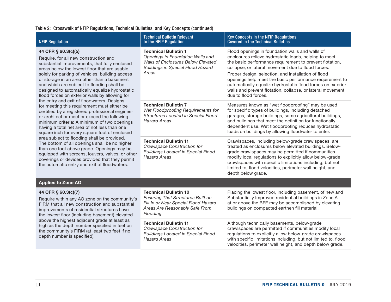#### Table 2: Crosswalk of NFIP Regulations, Technical Bulletins, and Key Concepts (continued)

| <b>NFIP Regulation</b>                                                                                                                                                                                                                                                                                                                                                                                            | <b>Technical Bulletin Relevant</b><br>to the NFIP Regulation                                                                                                      | Key Concepts in the NFIP Regulations<br><b>Covered in the Technical Bulletins</b>                                                                                                                                                                                                                                                                                                                                                                                                                |
|-------------------------------------------------------------------------------------------------------------------------------------------------------------------------------------------------------------------------------------------------------------------------------------------------------------------------------------------------------------------------------------------------------------------|-------------------------------------------------------------------------------------------------------------------------------------------------------------------|--------------------------------------------------------------------------------------------------------------------------------------------------------------------------------------------------------------------------------------------------------------------------------------------------------------------------------------------------------------------------------------------------------------------------------------------------------------------------------------------------|
| 44 CFR § 60.3(c)(5)<br>Require, for all new construction and<br>substantial improvements, that fully enclosed<br>areas below the lowest floor that are usable<br>solely for parking of vehicles, building access<br>or storage in an area other than a basement<br>and which are subject to flooding shall be<br>designed to automatically equalize hydrostatic<br>flood forces on exterior walls by allowing for | <b>Technical Bulletin 1</b><br>Openings in Foundation Walls and<br><b>Walls of Enclosures Below Elevated</b><br><b>Buildings in Special Flood Hazard</b><br>Areas | Flood openings in foundation walls and walls of<br>enclosures relieve hydrostatic loads, helping to meet<br>the basic performance requirement to prevent flotation,<br>collapse, or lateral movement due to flood forces.<br>Proper design, selection, and installation of flood<br>openings help meet the basic performance requirement to<br>automatically equalize hydrostatic flood forces on exterior<br>walls and prevent flotation, collapse, or lateral movement<br>due to flood forces. |
| the entry and exit of floodwaters. Designs<br>for meeting this requirement must either be<br>certified by a registered professional engineer<br>or architect or meet or exceed the following<br>minimum criteria: A minimum of two openings<br>having a total net area of not less than one<br>square inch for every square foot of enclosed                                                                      | <b>Technical Bulletin 7</b><br>Wet Floodproofing Requirements for<br>Structures Located in Special Flood<br><b>Hazard Areas</b>                                   | Measures known as "wet floodproofing" may be used<br>for specific types of buildings, including detached<br>garages, storage buildings, some agricultural buildings,<br>and buildings that meet the definition for functionally<br>dependent use. Wet floodproofing reduces hydrostatic<br>loads on buildings by allowing floodwater to enter.                                                                                                                                                   |
| area subject to flooding shall be provided.<br>The bottom of all openings shall be no higher<br>than one foot above grade. Openings may be<br>equipped with screens, louvers, valves, or other<br>coverings or devices provided that they permit<br>the automatic entry and exit of floodwaters.                                                                                                                  | <b>Technical Bulletin 11</b><br>Crawlspace Construction for<br><b>Buildings Located in Special Flood</b><br><b>Hazard Areas</b>                                   | Crawlspaces, including below-grade crawlspaces, are<br>treated as enclosures below elevated buildings. Below-<br>grade crawlspaces may be permitted if communities<br>modify local regulations to explicitly allow below-grade<br>crawlspaces with specific limitations including, but not<br>limited to, flood velocities, perimeter wall height, and<br>depth below grade.                                                                                                                     |
| <b>Applies to Zone AO</b>                                                                                                                                                                                                                                                                                                                                                                                         |                                                                                                                                                                   |                                                                                                                                                                                                                                                                                                                                                                                                                                                                                                  |
| 44 CFR § 60.3(c)(7)<br>Require within any AO zone on the community's<br>FIRM that all new construction and substantial<br>improvements of residential structures have<br>the lowest floor (including basement) elevated                                                                                                                                                                                           | <b>Technical Bulletin 10</b><br><b>Ensuring That Structures Built on</b><br>Fill In or Near Special Flood Hazard<br>Areas Are Reasonably Safe From<br>Flooding    | Placing the lowest floor, including basement, of new and<br>Substantially Improved residential buildings in Zone A<br>at or above the BFE may be accomplished by elevating<br>buildings on compacted earthen fill material.                                                                                                                                                                                                                                                                      |
| above the highest adjacent grade at least as<br>high as the depth number specified in feet on<br>the community's FIRM (at least two feet if no<br>depth number is specified).                                                                                                                                                                                                                                     | <b>Technical Bulletin 11</b><br>Crawlspace Construction for<br><b>Buildings Located in Special Flood</b><br><b>Hazard Areas</b>                                   | Although technically basements, below-grade<br>crawlspaces are permitted if communities modify local<br>regulations to explicitly allow below-grade crawlspaces<br>with specific limitations including, but not limited to, flood<br>velocities, perimeter wall height, and depth below grade.                                                                                                                                                                                                   |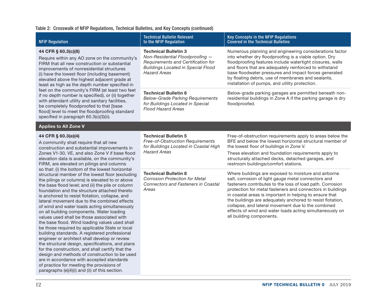#### Table 2: Crosswalk of NFIP Regulations, Technical Bulletins, and Key Concepts (continued)

| <b>NFIP Regulation</b>                                                                                                                                                                                                                                                                                                                                                                                                                                                                                                                                                                                                                                                                                                                                                                                                                                                                                                                                                                                                 | <b>Technical Bulletin Relevant</b><br>to the NFIP Regulation                                                                                                             | Key Concepts in the NFIP Regulations<br><b>Covered in the Technical Bulletins</b>                                                                                                                                                                                                                                                                                                                                                                                                                             |
|------------------------------------------------------------------------------------------------------------------------------------------------------------------------------------------------------------------------------------------------------------------------------------------------------------------------------------------------------------------------------------------------------------------------------------------------------------------------------------------------------------------------------------------------------------------------------------------------------------------------------------------------------------------------------------------------------------------------------------------------------------------------------------------------------------------------------------------------------------------------------------------------------------------------------------------------------------------------------------------------------------------------|--------------------------------------------------------------------------------------------------------------------------------------------------------------------------|---------------------------------------------------------------------------------------------------------------------------------------------------------------------------------------------------------------------------------------------------------------------------------------------------------------------------------------------------------------------------------------------------------------------------------------------------------------------------------------------------------------|
| 44 CFR § 60.3(c)(8)<br>Require within any AO zone on the community's<br>FIRM that all new construction or substantial<br>improvements of nonresidential structures<br>(i) have the lowest floor (including basement)<br>elevated above the highest adjacent grade at<br>least as high as the depth number specified in                                                                                                                                                                                                                                                                                                                                                                                                                                                                                                                                                                                                                                                                                                 | <b>Technical Bulletin 3</b><br>Non-Residential Floodproofing -<br>Requirements and Certification for<br><b>Buildings Located in Special Flood</b><br><b>Hazard Areas</b> | Numerous planning and engineering considerations factor<br>into whether dry floodproofing is a viable option. Dry<br>floodproofing features include watertight closures, walls<br>and floors that are adequately reinforced to withstand<br>base floodwater pressures and impact forces generated<br>by floating debris, use of membranes and sealants,<br>installation of pumps, and utility protection.                                                                                                     |
| feet on the community's FIRM (at least two feet<br>if no depth number is specified), or (ii) together<br>with attendant utility and sanitary facilities,<br>be completely floodproofed to that [base<br>flood] level to meet the floodproofing standard<br>specified in paragraph 60.3(c)(3)(ii).                                                                                                                                                                                                                                                                                                                                                                                                                                                                                                                                                                                                                                                                                                                      | <b>Technical Bulletin 6</b><br><b>Below-Grade Parking Requirements</b><br>for Buildings Located in Special<br><b>Flood Hazard Areas</b>                                  | Below-grade parking garages are permitted beneath non-<br>residential buildings in Zone A if the parking garage is dry<br>floodproofed.                                                                                                                                                                                                                                                                                                                                                                       |
| <b>Applies to All Zone V</b>                                                                                                                                                                                                                                                                                                                                                                                                                                                                                                                                                                                                                                                                                                                                                                                                                                                                                                                                                                                           |                                                                                                                                                                          |                                                                                                                                                                                                                                                                                                                                                                                                                                                                                                               |
| 44 CFR § 60.3(e)(4)<br>A community shall require that all new<br>construction and substantial improvements in<br>Zones V1-30, VE, and also Zone V if base flood<br>elevation data is available, on the community's<br>FIRM, are elevated on pilings and columns                                                                                                                                                                                                                                                                                                                                                                                                                                                                                                                                                                                                                                                                                                                                                        | <b>Technical Bulletin 5</b><br>Free-of-Obstruction Requirements<br>for Buildings Located in Coastal High<br><b>Hazard Areas</b>                                          | Free-of-obstruction requirements apply to areas below the<br>BFE and below the lowest horizontal structural member of<br>the lowest floor of buildings in Zone V.<br>These elevation and foundation requirements apply to<br>structurally attached decks, detached garages, and<br>restroom buildings/comfort stations.                                                                                                                                                                                       |
| so that: (i) the bottom of the lowest horizontal<br>structural member of the lowest floor (excluding<br>the pilings or columns) is elevated to or above<br>the base flood level; and (ii) the pile or column<br>foundation and the structure attached thereto<br>is anchored to resist flotation, collapse, and<br>lateral movement due to the combined effects<br>of wind and water loads acting simultaneously<br>on all building components. Water loading<br>values used shall be those associated with<br>the base flood. Wind loading values used shall<br>be those required by applicable State or local<br>building standards. A registered professional<br>engineer or architect shall develop or review<br>the structural design, specifications, and plans<br>for the construction, and shall certify that the<br>design and methods of construction to be used<br>are in accordance with accepted standards<br>of practice for meeting the provisions of<br>paragraphs (e)(4)(i) and (ii) of this section. | <b>Technical Bulletin 8</b><br><b>Corrosion Protection for Metal</b><br><b>Connectors and Fasteners in Coastal</b><br>Areas                                              | Where buildings are exposed to moisture and airborne<br>salt, corrosion of light gauge metal connectors and<br>fasteners contributes to the loss of load path. Corrosion<br>protection for metal fasteners and connectors in buildings<br>in coastal areas is important in helping to ensure that<br>the buildings are adequately anchored to resist flotation,<br>collapse, and lateral movement due to the combined<br>effects of wind and water loads acting simultaneously on<br>all building components. |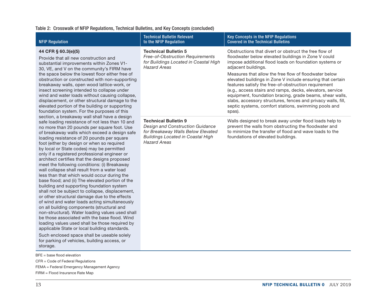#### Table 2: Crosswalk of NFIP Regulations, Technical Bulletins, and Key Concepts (concluded)

| <b>NFIP Regulation</b>                                                                                                                                                                                                                                                                                                                                                                                                                                                                                                                                                                                                                                                                                                                                                                                                                                                                         | <b>Technical Bulletin Relevant</b><br>to the NFIP Regulation                                                                                                             | Key Concepts in the NFIP Regulations<br><b>Covered in the Technical Bulletins</b>                                                                                                                                                                                                                                                                                                                                                                                                                                                                                                                                                       |
|------------------------------------------------------------------------------------------------------------------------------------------------------------------------------------------------------------------------------------------------------------------------------------------------------------------------------------------------------------------------------------------------------------------------------------------------------------------------------------------------------------------------------------------------------------------------------------------------------------------------------------------------------------------------------------------------------------------------------------------------------------------------------------------------------------------------------------------------------------------------------------------------|--------------------------------------------------------------------------------------------------------------------------------------------------------------------------|-----------------------------------------------------------------------------------------------------------------------------------------------------------------------------------------------------------------------------------------------------------------------------------------------------------------------------------------------------------------------------------------------------------------------------------------------------------------------------------------------------------------------------------------------------------------------------------------------------------------------------------------|
| 44 CFR § 60.3(e)(5)<br>Provide that all new construction and<br>substantial improvements within Zones V1-<br>30, VE, and V on the community's FIRM have<br>the space below the lowest floor either free of<br>obstruction or constructed with non-supporting<br>breakaway walls, open wood lattice-work, or<br>insect screening intended to collapse under<br>wind and water loads without causing collapse,<br>displacement, or other structural damage to the<br>elevated portion of the building or supporting<br>foundation system. For the purposes of this                                                                                                                                                                                                                                                                                                                               | <b>Technical Bulletin 5</b><br><b>Free-of-Obstruction Requirements</b><br>for Buildings Located in Coastal High<br><b>Hazard Areas</b>                                   | Obstructions that divert or obstruct the free flow of<br>floodwater below elevated buildings in Zone V could<br>impose additional flood loads on foundation systems or<br>adjacent buildings.<br>Measures that allow the free flow of floodwater below<br>elevated buildings in Zone V include ensuring that certain<br>features satisfy the free-of-obstruction requirement<br>(e.g., access stairs and ramps, decks, elevators, service<br>equipment, foundation bracing, grade beams, shear walls,<br>slabs, accessory structures, fences and privacy walls, fill,<br>septic systems, comfort stations, swimming pools and<br>spas). |
| section, a breakaway wall shall have a design<br>safe loading resistance of not less than 10 and<br>no more than 20 pounds per square foot. Use<br>of breakaway walls which exceed a design safe<br>loading resistance of 20 pounds per square<br>foot (either by design or when so required<br>by local or State codes) may be permitted<br>only if a registered professional engineer or<br>architect certifies that the designs proposed<br>meet the following conditions: (i) Breakaway<br>wall collapse shall result from a water load<br>less than that which would occur during the<br>base flood; and (ii) The elevated portion of the<br>building and supporting foundation system<br>shall not be subject to collapse, displacement,<br>or other structural damage due to the effects<br>of wind and water loads acting simultaneously<br>on all building components (structural and | <b>Technical Bulletin 9</b><br>Design and Construction Guidance<br>for Breakaway Walls Below Elevated<br><b>Buildings Located in Coastal High</b><br><b>Hazard Areas</b> | Walls designed to break away under flood loads help to<br>prevent the walls from obstructing the floodwater and<br>to minimize the transfer of flood and wave loads to the<br>foundations of elevated buildings.                                                                                                                                                                                                                                                                                                                                                                                                                        |

storage.

- CFR = Code of Federal Regulations
- FEMA = Federal Emergency Management Agency

non-structural). Water loading values used shall be those associated with the base flood. Wind loading values used shall be those required by applicable State or local building standards. Such enclosed space shall be useable solely for parking of vehicles, building access, or

FIRM = Flood Insurance Rate Map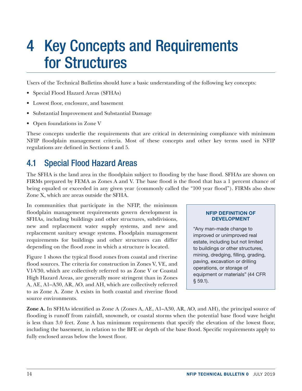## <span id="page-19-0"></span>4 Key Concepts and Requirements for Structures

Users of the Technical Bulletins should have a basic understanding of the following key concepts:

- Special Flood Hazard Areas (SFHAs)
- Lowest floor, enclosure, and basement
- Substantial Improvement and Substantial Damage
- Open foundations in Zone V

These concepts underlie the requirements that are critical in determining compliance with minimum NFIP floodplain management criteria. Most of these concepts and other key terms used in NFIP regulations are defined in Sections 4 and 5.

## 4.1 Special Flood Hazard Areas

The SFHA is the land area in the floodplain subject to flooding by the base flood. SFHAs are shown on FIRMs prepared by FEMA as Zones A and V. The base flood is the flood that has a 1 percent chance of being equaled or exceeded in any given year (commonly called the "100 year flood"). FIRMs also show Zone X, which are areas outside the SFHA.

In communities that participate in the NFIP, the minimum floodplain management requirements govern development in SFHAs, including buildings and other structures, subdivisions, new and replacement water supply systems, and new and replacement sanitary sewage systems. Floodplain management requirements for buildings and other structures can differ depending on the flood zone in which a structure is located.

Figure 1 shows the typical flood zones from coastal and riverine flood sources. The criteria for construction in Zones V, VE, and V1-V30, which are collectively referred to as Zone V or Coastal High Hazard Areas, are generally more stringent than in Zones A, AE, A1–A30, AR, AO, and AH, which are collectively referred to as Zone A. Zone A exists in both coastal and riverine flood source environments.

#### NFIP DEFINITION OF DEVELOPMENT

"Any man-made change to improved or unimproved real estate, including but not limited to buildings or other structures, mining, dredging, filling, grading, paving, excavation or drilling operations, or storage of equipment or materials" (44 CFR § 59.1).

**Zone A.** In SFHAs identified as Zone A (Zones A, AE, A1–A30, AR, AO, and AH), the principal source of flooding is runoff from rainfall, snowmelt, or coastal storms when the potential base flood wave height is less than 3.0 feet. Zone A has minimum requirements that specify the elevation of the lowest floor, including the basement, in relation to the BFE or depth of the base flood. Specific requirements apply to fully enclosed areas below the lowest floor.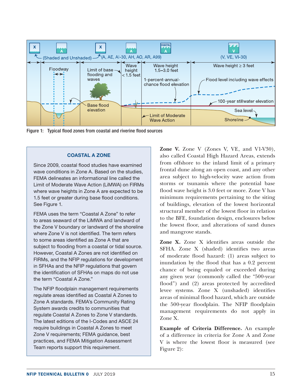<span id="page-20-0"></span>

Figure 1: Typical flood zones from coastal and riverine flood sources

#### COASTAL A ZONE

Since 2009, coastal flood studies have examined wave conditions in Zone A. Based on the studies, FEMA delineates an informational line called the Limit of Moderate Wave Action (LiMWA) on FIRMs where wave heights in Zone A are expected to be 1.5 feet or greater during base flood conditions. See Figure 1.

FEMA uses the term "Coastal A Zone" to refer to areas seaward of the LiMWA and landward of the Zone V boundary or landward of the shoreline where Zone V is not identified. The term refers to some areas identified as Zone A that are subject to flooding from a coastal or tidal source. However, Coastal A Zones are not identified on FIRMs, and the NFIP regulations for development in SFHAs and the NFIP regulations that govern the identification of SFHAs on maps do not use the term "Coastal A Zone."

The NFIP floodplain management requirements regulate areas identified as Coastal A Zones to Zone A standards. FEMA's Community Rating System awards credits to communities that regulate Coastal A Zones to Zone V standards. The latest editions of the I-Codes and ASCE 24 require buildings in Coastal A Zones to meet Zone V requirements; FEMA guidance, best practices, and FEMA Mitigation Assessment Team reports support this requirement.

**Zone V.** Zone V (Zones V, VE, and V1-V30), also called Coastal High Hazard Areas, extends from offshore to the inland limit of a primary frontal dune along an open coast, and any other area subject to high-velocity wave action from storms or tsunamis where the potential base flood wave height is 3.0 feet or more. Zone V has minimum requirements pertaining to the siting of buildings, elevation of the lowest horizontal structural member of the lowest floor in relation to the BFE, foundation design, enclosures below the lowest floor, and alterations of sand dunes and mangrove stands.

**Zone X.** Zone X identifies areas outside the SFHA. Zone X (shaded) identifies two areas of moderate flood hazard: (1) areas subject to inundation by the flood that has a 0.2 percent chance of being equaled or exceeded during any given year (commonly called the "500-year flood") and (2) areas protected by accredited levee systems. Zone X (unshaded) identifies areas of minimal flood hazard, which are outside the 500-year floodplain. The NFIP floodplain management requirements do not apply in Zone X.

**Example of Criteria Difference.** An example of a difference in criteria for Zone A and Zone V is where the lowest floor is measured (see Figure 2):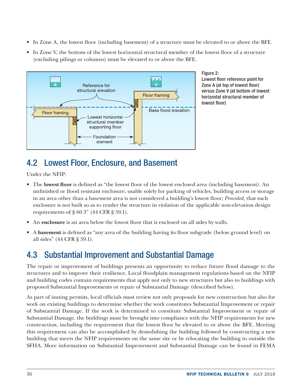- <span id="page-21-0"></span>• In Zone A, the lowest floor (including basement) of a structure must be elevated to or above the BFE.
- In Zone V, the bottom of the lowest horizontal structural member of the lowest floor of a structure (excluding pilings or columns) must be elevated to or above the BFE.



Figure 2: Lowest floor reference point for Zone A (at top of lowest floor) versus Zone V (at bottom of lowest horizontal structural member of lowest floor)

## 4.2 Lowest Floor, Enclosure, and Basement

Under the NFIP:

- The **lowest floor** is defined as "the lowest floor of the lowest enclosed area (including basement). An unfinished or flood resistant enclosure, usable solely for parking of vehicles, building access or storage in an area other than a basement area is not considered a building's lowest floor; *Provided,* that such enclosure is not built so as to render the structure in violation of the applicable non-elevation design requirements of § 60.3" (44 CFR § 59.1).
- An **enclosure** is an area below the lowest floor that is enclosed on all sides by walls.
- A **basement** is defined as "any area of the building having its floor subgrade (below ground level) on all sides" (44 CFR § 59.1).

## 4.3 Substantial Improvement and Substantial Damage

The repair or improvement of buildings presents an opportunity to reduce future flood damage to the structures and to improve their resilience. Local floodplain management regulations based on the NFIP and building codes contain requirements that apply not only to new structures but also to buildings with proposed Substantial Improvements or repair of Substantial Damage (described below).

As part of issuing permits, local officials must review not only proposals for new construction but also for work on existing buildings to determine whether the work constitutes Substantial Improvement or repair of Substantial Damage. If the work is determined to constitute Substantial Improvement or repair of Substantial Damage, the buildings must be brought into compliance with the NFIP requirements for new construction, including the requirement that the lowest floor be elevated to or above the BFE. Meeting this requirement can also be accomplished by demolishing the building followed by constructing a new building that meets the NFIP requirements on the same site or by relocating the building to outside the SFHA. More information on Substantial Improvement and Substantial Damage can be found in FEMA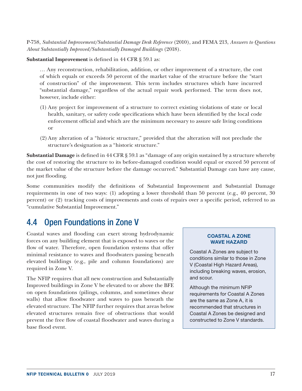<span id="page-22-0"></span>P-758, *Substantial Improvement/Substantial Damage Desk Reference* (2010), and FEMA 213, *Answers to Questions About Substantially Improved/Substantially Damaged Buildings* (2018).

**Substantial Improvement** is defined in 44 CFR § 59.1 as:

… Any reconstruction, rehabilitation, addition, or other improvement of a structure, the cost of which equals or exceeds 50 percent of the market value of the structure before the "start of construction" of the improvement. This term includes structures which have incurred "substantial damage," regardless of the actual repair work performed. The term does not, however, include either:

- (1) Any project for improvement of a structure to correct existing violations of state or local health, sanitary, or safety code specifications which have been identified by the local code enforcement official and which are the minimum necessary to assure safe living conditions or
- (2)Any alteration of a "historic structure," provided that the alteration will not preclude the structure's designation as a "historic structure."

**Substantial Damage** is defined in 44 CFR § 59.1 as "damage of any origin sustained by a structure whereby the cost of restoring the structure to its before-damaged condition would equal or exceed 50 percent of the market value of the structure before the damage occurred." Substantial Damage can have any cause, not just flooding.

Some communities modify the definitions of Substantial Improvement and Substantial Damage requirements in one of two ways: (1) adopting a lower threshold than 50 percent (e.g., 40 percent, 30 percent) or (2) tracking costs of improvements and costs of repairs over a specific period, referred to as "cumulative Substantial Improvement."

## 4.4 Open Foundations in Zone V

Coastal waves and flooding can exert strong hydrodynamic forces on any building element that is exposed to waves or the flow of water. Therefore, open foundation systems that offer minimal resistance to waves and floodwaters passing beneath elevated buildings (e.g., pile and column foundations) are required in Zone V.

The NFIP requires that all new construction and Substantially Improved buildings in Zone V be elevated to or above the BFE on open foundations (pilings, columns, and sometimes shear walls) that allow floodwater and waves to pass beneath the elevated structure. The NFIP further requires that areas below elevated structures remain free of obstructions that would prevent the free flow of coastal floodwater and waves during a base flood event.

#### COASTAL A ZONE WAVE HAZARD

Coastal A Zones are subject to conditions similar to those in Zone V (Coastal High Hazard Areas), including breaking waves, erosion, and scour.

Although the minimum NFIP requirements for Coastal A Zones are the same as Zone A, it is recommended that structures in Coastal A Zones be designed and constructed to Zone V standards.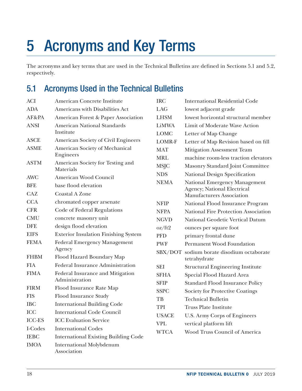## <span id="page-23-0"></span>5 Acronyms and Key Terms

The acronyms and key terms that are used in the Technical Bulletins are defined in Sections 5.1 and 5.2, respectively.

## 5.1 Acronyms Used in the Technical Bulletins

| <b>ACI</b>    | American Concrete Institute                    | <b>IRC</b>    | <b>International Residential Code</b>                           |
|---------------|------------------------------------------------|---------------|-----------------------------------------------------------------|
| <b>ADA</b>    | Americans with Disabilities Act                | LAG           | lowest adjacent grade                                           |
| AF&PA         | American Forest & Paper Association            | <b>LHSM</b>   | lowest horizontal structural member                             |
| <b>ANSI</b>   | <b>American National Standards</b>             | LiMWA         | Limit of Moderate Wave Action                                   |
|               | Institute                                      | <b>LOMC</b>   | Letter of Map Change                                            |
| <b>ASCE</b>   | American Society of Civil Engineers            | <b>LOMR-F</b> | Letter of Map Revision based on fill                            |
| <b>ASME</b>   | American Society of Mechanical                 | <b>MAT</b>    | Mitigation Assessment Team                                      |
|               | Engineers                                      | <b>MRL</b>    | machine room-less traction elevators                            |
| <b>ASTM</b>   | American Society for Testing and<br>Materials  | <b>MSJC</b>   | Masonry Standard Joint Committee                                |
| <b>AWC</b>    | American Wood Council                          | <b>NDS</b>    | National Design Specification                                   |
| <b>BFE</b>    | base flood elevation                           | <b>NEMA</b>   | National Emergency Management                                   |
| <b>CAZ</b>    | <b>Coastal A Zone</b>                          |               | <b>Agency; National Electrical</b><br>Manufacturers Association |
| <b>CCA</b>    | chromated copper arsenate                      | <b>NFIP</b>   | National Flood Insurance Program                                |
| <b>CFR</b>    | Code of Federal Regulations                    | <b>NFPA</b>   | National Fire Protection Association                            |
| <b>CMU</b>    | concrete masonry unit                          | <b>NGVD</b>   | National Geodetic Vertical Datum                                |
| <b>DFE</b>    | design flood elevation                         | oz/ft2        | ounces per square foot                                          |
| <b>EIFS</b>   | <b>Exterior Insulation Finishing System</b>    | <b>PFD</b>    | primary frontal dune                                            |
| <b>FEMA</b>   | <b>Federal Emergency Management</b>            | <b>PWF</b>    | <b>Permanent Wood Foundation</b>                                |
|               | Agency                                         |               | SBX/DOT sodium borate disodium octaborate                       |
| <b>FHBM</b>   | Flood Hazard Boundary Map                      |               | tetrahydrate                                                    |
| <b>FIA</b>    | Federal Insurance Administration               | <b>SEI</b>    | <b>Structural Engineering Institute</b>                         |
| <b>FIMA</b>   | Federal Insurance and Mitigation               | <b>SFHA</b>   | Special Flood Hazard Area                                       |
|               | Administration                                 | <b>SFIP</b>   | <b>Standard Flood Insurance Policy</b>                          |
| <b>FIRM</b>   | Flood Insurance Rate Map                       | <b>SSPC</b>   | <b>Society for Protective Coatings</b>                          |
| <b>FIS</b>    | Flood Insurance Study                          | TB            | <b>Technical Bulletin</b>                                       |
| <b>IBC</b>    | <b>International Building Code</b>             | <b>TPI</b>    | <b>Truss Plate Institute</b>                                    |
| <b>ICC</b>    | <b>International Code Council</b>              | <b>USACE</b>  | U.S. Army Corps of Engineers                                    |
| <b>ICC-ES</b> | <b>ICC Evaluation Service</b>                  | <b>VPL</b>    | vertical platform lift                                          |
| I-Codes       | <b>International Codes</b>                     | <b>WTCA</b>   | Wood Truss Council of America                                   |
| <b>IEBC</b>   | <b>International Existing Building Code</b>    |               |                                                                 |
| <b>IMOA</b>   | <b>International Molybdenum</b><br>Association |               |                                                                 |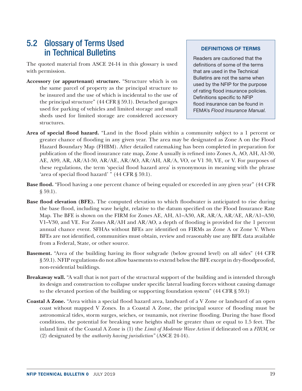### <span id="page-24-0"></span>5.2 Glossary of Terms Used in Technical Bulletins

The quoted material from ASCE 24-14 in this glossary is used with permission.

**Accessory (or appurtenant) structure.** "Structure which is on the same parcel of property as the principal structure to be insured and the use of which is incidental to the use of the principal structure" (44 CFR § 59.1). Detached garages used for parking of vehicles and limited storage and small sheds used for limited storage are considered accessory structures.

#### DEFINITIONS OF TERMS

Readers are cautioned that the definitions of some of the terms that are used in the Technical Bulletins are not the same when used by the NFIP for the purpose of rating flood insurance policies. Definitions specific to NFIP flood insurance can be found in FEMA's *Flood Insurance Manual.*

- **Area of special flood hazard.** "Land in the flood plain within a community subject to a 1 percent or greater chance of flooding in any given year. The area may be designated as Zone A on the Flood Hazard Boundary Map (FHBM). After detailed ratemaking has been completed in preparation for publication of the flood insurance rate map, Zone A usually is refined into Zones A, AO, AH, A1-30, AE, A99, AR, AR/A1-30, AR/AE, AR/AO, AR/AH, AR/A, VO, or V1 30, VE, or V. For purposes of these regulations, the term 'special flood hazard area' is synonymous in meaning with the phrase 'area of special flood hazard' " (44 CFR § 59.1).
- **Base flood.** "Flood having a one percent chance of being equaled or exceeded in any given year" (44 CFR  $\S 59.1$ ).
- **Base flood elevation (BFE).** The computed elevation to which floodwater is anticipated to rise during the base flood, including wave height, relative to the datum specified on the Flood Insurance Rate Map. The BFE is shown on the FIRM for Zones AE, AH, A1–A30, AR, AR/A, AR/AE, AR/A1–A30, V1–V30, and VE. For Zones AR/AH and AR/AO, a depth of flooding is provided for the 1 percent annual chance event. SFHAs without BFEs are identified on FIRMs as Zone A or Zone V. When BFEs are not identified, communities must obtain, review and reasonably use any BFE data available from a Federal, State, or other source.
- **Basement.** "Area of the building having its floor subgrade (below ground level) on all sides" (44 CFR § 59.1). NFIP regulations do not allow basements to extend below the BFE except in dry-floodproofed, non-residential buildings.
- **Breakaway wall.** "A wall that is not part of the structural support of the building and is intended through its design and construction to collapse under specific lateral loading forces without causing damage to the elevated portion of the building or supporting foundation system" (44 CFR § 59.1)
- **Coastal A Zone.** "Area within a special flood hazard area, landward of a V Zone or landward of an open coast without mapped V Zones. In a Coastal A Zone, the principal source of flooding must be astronomical tides, storm surges, seiches, or tsunamis, not riverine flooding. During the base flood conditions, the potential for breaking wave heights shall be greater than or equal to 1.5 feet. The inland limit of the Coastal A Zone is (1) the *Limit of Moderate Wave Action* if delineated on a *FIRM,* or (2) designated by the *authority having jurisdiction"* (ASCE 24-14).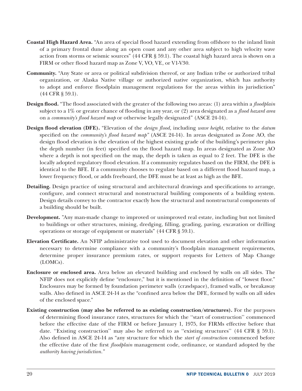- **Coastal High Hazard Area.** "An area of special flood hazard extending from offshore to the inland limit of a primary frontal dune along an open coast and any other area subject to high velocity wave action from storms or seismic sources" (44 CFR § 59.1). The coastal high hazard area is shown on a FIRM or other flood hazard map as Zone V, VO, VE, or V1-V30.
- **Community.** "Any State or area or political subdivision thereof, or any Indian tribe or authorized tribal organization, or Alaska Native village or authorized native organization, which has authority to adopt and enforce floodplain management regulations for the areas within its jurisdiction" (44 CFR § 59.1).
- **Design flood.** "The flood associated with the greater of the following two areas: (1) area within a *floodplain*  subject to a 1% or greater chance of flooding in any year, or (2) area designated as a *flood hazard area* on a *community's flood hazard map* or otherwise legally designated" (ASCE 24-14).
- **Design flood elevation (DFE).** "Elevation of the *design flood,* including *wave height,* relative to the *datum*  specified on the *community's flood hazard map"* (ASCE 24-14). In areas designated as Zone AO, the design flood elevation is the elevation of the highest existing grade of the building's perimeter plus the depth number (in feet) specified on the flood hazard map. In areas designated as Zone AO where a depth is not specified on the map, the depth is taken as equal to 2 feet. The DFE is the locally adopted regulatory flood elevation. If a community regulates based on the FIRM, the DFE is identical to the BFE. If a community chooses to regulate based on a different flood hazard map, a lower frequency flood, or adds freeboard, the DFE must be at least as high as the BFE.
- **Detailing.** Design practice of using structural and architectural drawings and specifications to arrange, configure, and connect structural and nonstructural building components of a building system. Design details convey to the contractor exactly how the structural and nonstructural components of a building should be built.
- **Development.** "Any man-made change to improved or unimproved real estate, including but not limited to buildings or other structures, mining, dredging, filling, grading, paving, excavation or drilling operations or storage of equipment or materials" (44 CFR § 59.1).
- **Elevation Certificate.** An NFIP administrative tool used to document elevation and other information necessary to determine compliance with a community's floodplain management requirements, determine proper insurance premium rates, or support requests for Letters of Map Change (LOMCs).
- **Enclosure or enclosed area.** Area below an elevated building and enclosed by walls on all sides. The NFIP does not explicitly define "enclosure," but it is mentioned in the definition of "lowest floor." Enclosures may be formed by foundation perimeter walls (crawlspace), framed walls, or breakaway walls. Also defined in ASCE 24-14 as the "confined area below the DFE, formed by walls on all sides of the enclosed space."
- **Existing construction (may also be referred to as existing construction/structures).** For the purposes of determining flood insurance rates, structures for which the ''start of construction'' commenced before the effective date of the FIRM or before January 1, 1975, for FIRMs effective before that date. "Existing construction" may also be referred to as "existing structures" (44 CFR § 59.1). Also defined in ASCE 24-14 as "any structure for which the *start of construction* commenced before the effective date of the first *floodplain* management code, ordinance, or standard adopted by the *authority having jurisdiction."*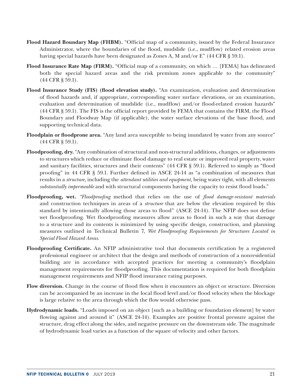- **Flood Hazard Boundary Map (FHBM).** "Official map of a community, issued by the Federal Insurance Administrator, where the boundaries of the flood, mudslide (i.e., mudflow) related erosion areas having special hazards have been designated as Zones A, M and/or E" (44 CFR § 59.1).
- **Flood Insurance Rate Map (FIRM).** "Official map of a community, on which … [FEMA] has delineated both the special hazard areas and the risk premium zones applicable to the community" (44 CFR § 59.1).
- **Flood Insurance Study (FIS) (flood elevation study).** "An examination, evaluation and determination of flood hazards and, if appropriate, corresponding water surface elevations, or an examination, evaluation and determination of mudslide (i.e., mudflow) and/or flood-related erosion hazards" (44 CFR § 59.1). The FIS is the official report provided by FEMA that contains the FIRM, the Flood Boundary and Floodway Map (if applicable), the water surface elevations of the base flood, and supporting technical data.
- **Floodplain or floodprone area.** "Any land area susceptible to being inundated by water from any source" (44 CFR § 59.1).
- **Floodproofing, dry.** "Any combination of structural and non-structural additions, changes, or adjustments to structures which reduce or eliminate flood damage to real estate or improved real property, water and sanitary facilities, structures and their contents" (44 CFR § 59.1). Referred to simply as "flood proofing" in 44 CFR § 59.1. Further defined in ASCE 24-14 as "a combination of measures that results in a *structure,* including the *attendant utilities and equipment,* being water tight, with all elements *substantially impermeable* and with structural components having the capacity to resist flood loads."
- **Floodproofing, wet.** *"Floodproofing* method that relies on the use of *flood damage-resistant materials*  and construction techniques in areas of a *structure* that are below the elevation required by this standard by intentionally allowing those areas to flood" (ASCE 24-14). The NFIP does not define wet floodproofing. Wet floodproofing measures allow areas to flood in such a way that damage to a structure and its contents is minimized by using specific design, construction, and planning measures outlined in Technical Bulletin 7, *Wet Floodproofing Requirements for Structures Located in Special Flood Hazard Areas.*
- **Floodproofing Certificate.** An NFIP administrative tool that documents certification by a registered professional engineer or architect that the design and methods of construction of a nonresidential building are in accordance with accepted practices for meeting a community's floodplain management requirements for floodproofing. This documentation is required for both floodplain management requirements and NFIP flood insurance rating purposes.
- **Flow diversion.** Change in the course of flood flow when it encounters an object or structure. Diversion can be accompanied by an increase in the local flood level and/or flood velocity when the blockage is large relative to the area through which the flow would otherwise pass.
- **Hydrodynamic loads.** "Loads imposed on an object [such as a building or foundation element] by water flowing against and around it" (ASCE 24-14). Examples are positive frontal pressure against the structure, drag effect along the sides, and negative pressure on the downstream side. The magnitude of hydrodynamic load varies as a function of the square of velocity and other factors.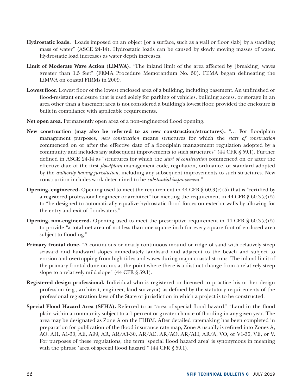- **Hydrostatic loads.** "Loads imposed on an object [or a surface, such as a wall or floor slab] by a standing mass of water" (ASCE 24-14). Hydrostatic loads can be caused by slowly moving masses of water. Hydrostatic load increases as water depth increases.
- **Limit of Moderate Wave Action (LiMWA).** "The inland limit of the area affected by [breaking] waves greater than 1.5 feet" (FEMA Procedure Memorandum No. 50). FEMA began delineating the LiMWA on coastal FIRMs in 2009.
- **Lowest floor.** Lowest floor of the lowest enclosed area of a building, including basement. An unfinished or flood-resistant enclosure that is used solely for parking of vehicles, building access, or storage in an area other than a basement area is not considered a building's lowest floor, provided the enclosure is built in compliance with applicable requirements.
- **Net open area.** Permanently open area of a non-engineered flood opening.
- **New construction (may also be referred to as new construction/structures).** "… For floodplain management purposes, *new construction* means structures for which the *start of construction* commenced on or after the effective date of a floodplain management regulation adopted by a community and includes any subsequent improvements to such structures" (44 CFR § 59.1). Further defined in ASCE 24-14 as "structures for which the *start of construction* commenced on or after the effective date of the first *floodplain* management code, regulation, ordinance, or standard adopted by the *authority having jurisdiction,* including any subsequent improvements to such structures. New construction includes work determined to be *substantial improvement."*
- **Opening, engineered.** Opening used to meet the requirement in 44 CFR  $\S 60.3(c)(5)$  that is "certified by a registered professional engineer or architect" for meeting the requirement in 44 CFR  $\S 60.3(c)(5)$ to "be designed to automatically equalize hydrostatic flood forces on exterior walls by allowing for the entry and exit of floodwaters."
- **Opening, non-engineered.** Opening used to meet the prescriptive requirement in 44 CFR  $\S 60.3(c)(5)$ to provide "a total net area of not less than one square inch for every square foot of enclosed area subject to flooding."
- **Primary frontal dune.** "A continuous or nearly continuous mound or ridge of sand with relatively steep seaward and landward slopes immediately landward and adjacent to the beach and subject to erosion and overtopping from high tides and waves during major coastal storms. The inland limit of the primary frontal dune occurs at the point where there is a distinct change from a relatively steep slope to a relatively mild slope" (44 CFR § 59.1).
- **Registered design professional.** Individual who is registered or licensed to practice his or her design profession (e.g., architect, engineer, land surveyor) as defined by the statutory requirements of the professional registration laws of the State or jurisdiction in which a project is to be constructed.
- **Special Flood Hazard Area (SFHA).** Referred to as "area of special flood hazard." "Land in the flood plain within a community subject to a 1 percent or greater chance of flooding in any given year. The area may be designated as Zone A on the FHBM. After detailed ratemaking has been completed in preparation for publication of the flood insurance rate map, Zone A usually is refined into Zones A, AO, AH, A1-30, AE, A99, AR, AR/A1-30, AR/AE, AR/AO, AR/AH, AR/A, VO, or V1-30, VE, or V. For purposes of these regulations, the term 'special flood hazard area' is synonymous in meaning with the phrase 'area of special flood hazard'" (44 CFR § 59.1).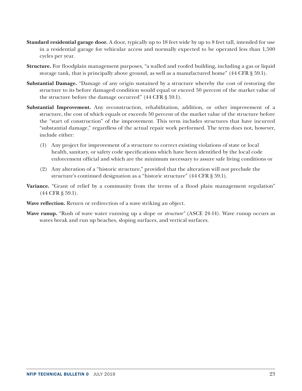- **Standard residential garage door.** A door, typically up to 18 feet wide by up to 8 feet tall, intended for use in a residential garage for vehicular access and normally expected to be operated less than 1,500 cycles per year.
- **Structure.** For floodplain management purposes, "a walled and roofed building, including a gas or liquid storage tank, that is principally above ground, as well as a manufactured home" (44 CFR § 59.1).
- **Substantial Damage.** "Damage of any origin sustained by a structure whereby the cost of restoring the structure to its before damaged condition would equal or exceed 50 percent of the market value of the structure before the damage occurred" (44 CFR § 59.1).
- **Substantial Improvement.** Any reconstruction, rehabilitation, addition, or other improvement of a structure, the cost of which equals or exceeds 50 percent of the market value of the structure before the "start of construction" of the improvement. This term includes structures that have incurred "substantial damage," regardless of the actual repair work performed. The term does not, however, include either:
	- (1) Any project for improvement of a structure to correct existing violations of state or local health, sanitary, or safety code specifications which have been identified by the local code enforcement official and which are the minimum necessary to assure safe living conditions or
	- (2) Any alteration of a "historic structure," provided that the alteration will not preclude the structure's continued designation as a "historic structure" (44 CFR § 59.1).
- **Variance.** "Grant of relief by a community from the terms of a flood plain management regulation" (44 CFR § 59.1).
- **Wave reflection.** Return or redirection of a wave striking an object.
- **Wave runup.** "Rush of wave water running up a slope or *structure"* (ASCE 24-14). Wave runup occurs as waves break and run up beaches, sloping surfaces, and vertical surfaces.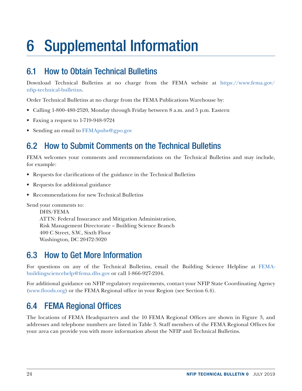## <span id="page-29-0"></span>6 Supplemental Information

## 6.1 How to Obtain Technical Bulletins

Download Technical Bulletins at no charge from the FEMA website at [https://www.fema.gov/](https://www.fema.gov/nfip-technical-bulletins) [nfip-technical-bulletins](https://www.fema.gov/nfip-technical-bulletins).

Order Technical Bulletins at no charge from the FEMA Publications Warehouse by:

- Calling 1-800-480-2520, Monday through Friday between 8 a.m. and 5 p.m. Eastern
- Faxing a request to 1-719-948-9724
- Sending an email to [FEMApubs@gpo.gov](mailto:FEMApubs@gpo.gov)

## 6.2 How to Submit Comments on the Technical Bulletins

FEMA welcomes your comments and recommendations on the Technical Bulletins and may include, for example:

- Requests for clarifications of the guidance in the Technical Bulletins
- Requests for additional guidance
- Recommendations for new Technical Bulletins

Send your comments to:

DHS/FEMA ATTN: Federal Insurance and Mitigation Administration, Risk Management Directorate – Building Science Branch 400 C Street, S.W., Sixth Floor Washington, DC 20472-3020

## 6.3 How to Get More Information

For questions on any of the Technical Bulletins, email the Building Science Helpline at [FEMA](mailto:FEMA-buildingsciencehelp@fema.dhs.gov)[buildingsciencehelp@fema.dhs.gov](mailto:FEMA-buildingsciencehelp@fema.dhs.gov) or call 1-866-927-2104.

For additional guidance on NFIP regulatory requirements, contact your NFIP State Coordinating Agency ([www.floods.org\)](http://www.floods.org) or the FEMA Regional office in your Region (see Section 6.4).

## 6.4 FEMA Regional Offices

The locations of FEMA Headquarters and the 10 FEMA Regional Offices are shown in Figure 3, and addresses and telephone numbers are listed in Table 3. Staff members of the FEMA Regional Offices for your area can provide you with more information about the NFIP and Technical Bulletins.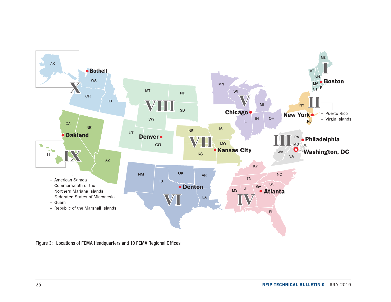<span id="page-30-0"></span>

Figure 3: Locations of FEMA Headquarters and 10 FEMA Regional Offices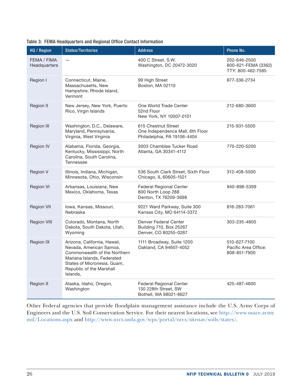| HQ / Region                 | <b>States/Territories</b>                                                                                                                                                                    | <b>Address</b>                                                                         | Phone No.                                                |
|-----------------------------|----------------------------------------------------------------------------------------------------------------------------------------------------------------------------------------------|----------------------------------------------------------------------------------------|----------------------------------------------------------|
| FEMA / FIMA<br>Headquarters | $\overline{\phantom{0}}$                                                                                                                                                                     | 400 C Street, S.W.<br>Washington, DC 20472-3020                                        | 202-646-2500<br>800-621-FEMA (3362)<br>TTY: 800-462-7585 |
| Region I                    | Connecticut, Maine,<br>Massachusetts, New<br>Hampshire, Rhode Island,<br>Vermont                                                                                                             | 99 High Street<br>Boston, MA 02110                                                     | 877-336-2734                                             |
| Region II                   | New Jersey, New York, Puerto<br>Rico, Virgin Islands                                                                                                                                         | One World Trade Center<br>52nd Floor<br>New York, NY 10007-0101                        | 212-680-3600                                             |
| Region III                  | Washington, D.C., Delaware,<br>Maryland, Pennsylvania,<br>Virginia, West Virginia                                                                                                            | 615 Chestnut Street<br>One Independence Mall, 6th Floor<br>Philadelphia, PA 19106-4404 | 215-931-5500                                             |
| Region IV                   | Alabama, Florida, Georgia,<br>Kentucky, Mississippi, North<br>Carolina, South Carolina,<br><b>Tennessee</b>                                                                                  | 3003 Chamblee Tucker Road<br>Atlanta, GA 30341-4112                                    | 770-220-5200                                             |
| Region V                    | Illinois, Indiana, Michigan,<br>Minnesota, Ohio, Wisconsin                                                                                                                                   | 536 South Clark Street, Sixth Floor<br>Chicago, IL 60605-1521                          | 312-408-5500                                             |
| <b>Region VI</b>            | Arkansas, Louisiana, New<br>Mexico, Oklahoma, Texas                                                                                                                                          | <b>Federal Regional Center</b><br>800 North Loop 288<br>Denton, TX 76209-3698          | 940-898-5399                                             |
| <b>Region VII</b>           | Iowa, Kansas, Missouri,<br>Nebraska                                                                                                                                                          | 9221 Ward Parkway, Suite 300<br>Kansas City, MO 64114-3372                             | 816-283-7061                                             |
| <b>Region VIII</b>          | Colorado, Montana, North<br>Dakota, South Dakota, Utah,<br>Wyoming                                                                                                                           | Denver Federal Center<br>Building 710, Box 25267<br>Denver, CO 80255-0267              | 303-235-4800                                             |
| Region IX                   | Arizona, California, Hawaii,<br>Nevada, American Samoa,<br>Commonwealth of the Northern<br>Mariana Islands, Federated<br>States of Micronesia, Guam,<br>Republic of the Marshall<br>Islands, | 1111 Broadway, Suite 1200<br>Oakland, CA 94607-4052                                    | 510-627-7100<br>Pacific Area Office:<br>808-851-7900     |
| Region X                    | Alaska, Idaho, Oregon,<br>Washington                                                                                                                                                         | <b>Federal Regional Center</b><br>130 228th Street, SW<br>Bothell, WA 98021-8627       | 425-487-4600                                             |

<span id="page-31-0"></span>

|  |  | Table 3: FEMA Headquarters and Regional Office Contact Information |  |  |  |  |  |  |
|--|--|--------------------------------------------------------------------|--|--|--|--|--|--|
|--|--|--------------------------------------------------------------------|--|--|--|--|--|--|

Other Federal agencies that provide floodplain management assistance include the U.S. Army Corps of Engineers and the U.S. Soil Conservation Service. For their nearest locations, see [http://www.usace.army.](http://www.usace.army.mil/Locations.aspx) [mil/Locations.aspx](http://www.usace.army.mil/Locations.aspx) and [http://www.nrcs.usda.gov/wps/portal/nrcs/sitenav/soils/states/.](http://www.nrcs.usda.gov/wps/portal/nrcs/sitenav/soils/states/)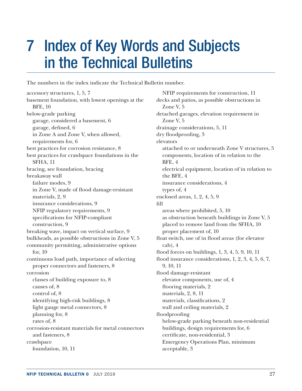## <span id="page-32-0"></span>7 Index of Key Words and Subjects in the Technical Bulletins

The numbers in the index indicate the Technical Bulletin number.

accessory structures, 1, 5, 7 basement foundation, with lowest openings at the BFE, 10 below-grade parking garage, considered a basement, 6 garage, defined, 6 in Zone A and Zone V, when allowed, requirements for, 6 best practices for corrosion resistance, 8 best practices for crawlspace foundations in the SFHA, 11 bracing, see foundation, bracing breakaway wall failure modes, 9 in Zone V, made of flood damage-resistant materials, 2, 9 insurance considerations, 9 NFIP regulatory requirements, 9 specifications for NFIP-compliant construction, 9 breaking wave, impact on vertical surface, 9 bulkheads, as possible obstructions in Zone V, 5 community permitting, administrative options for, 10 continuous load path, importance of selecting proper connectors and fasteners, 8 corrosion classes of building exposure to, 8 causes of, 8 control of, 8 identifying high-risk buildings, 8 light gauge metal connectors, 8 planning for, 8 rates of, 8 corrosion-resistant materials for metal connectors and fasteners, 8 crawlspace foundation, 10, 11

NFIP requirements for construction, 11 decks and patios, as possible obstructions in Zone V, 5 detached garages, elevation requirement in Zone V, 5 drainage considerations, 5, 11 dry floodproofing, 3 elevators attached to or underneath Zone V structures, 5 components, location of in relation to the BFE, 4 electrical equipment, location of in relation to the BFE, 4 insurance considerations, 4 types of, 4 enclosed areas, 1, 2, 4, 5, 9 fill areas where prohibited, 5, 10 as obstruction beneath buildings in Zone V, 5 placed to remove land from the SFHA, 10 proper placement of, 10 float switch, use of in flood areas (for elevator cab), 4 flood forces on buildings, 1, 3, 4, 5, 9, 10, 11 flood insurance considerations, 1, 2, 3, 4, 5, 6, 7, 9, 10, 11 flood damage-resistant elevator components, use of, 4 flooring materials, 2 materials, 2, 8, 11 materials, classifications, 2 wall and ceiling materials, 2 floodproofing below-grade parking beneath non-residential buildings, design requirements for, 6 certificate, non-residential, 3 Emergency Operations Plan, minimum acceptable, 3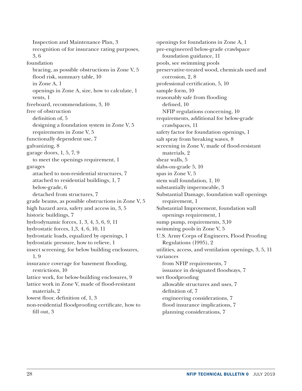Inspection and Maintenance Plan, 3 recognition of for insurance rating purposes, 3, 6 foundation bracing, as possible obstructions in Zone V, 5 flood risk, summary table, 10 in Zone A, 1 openings in Zone A, size, how to calculate, 1 vents, 1 freeboard, recommendations, 3, 10 free of obstruction definition of, 5 designing a foundation system in Zone V, 5 requirements in Zone V, 5 functionally dependent use, 7 galvanizing, 8 garage doors, 1, 5, 7, 9 to meet the openings requirement, 1 garages attached to non-residential structures, 7 attached to residential buildings, 1, 7 below-grade, 6 detached from structures, 7 grade beams, as possible obstructions in Zone V, 5 high hazard area, safety and access in, 3, 5 historic buildings, 7 hydrodynamic forces, 1, 3, 4, 5, 6, 9, 11 hydrostatic forces, 1,3, 4, 6, 10, 11 hydrostatic loads, equalized by openings, 1 hydrostatic pressure, how to relieve, 1 insect screening, for below building enclosures, 1, 9 insurance coverage for basement flooding, restrictions, 10 lattice work, for below-building enclosures, 9 lattice work in Zone V, made of flood-resistant materials, 2 lowest floor, definition of, 1, 3 non-residential floodproofing certificate, how to fill out, 3

openings for foundations in Zone A, 1 pre-engineered below-grade crawlspace foundation guidance, 11 pools, see swimming pools preservative-treated wood, chemicals used and corrosion, 2, 8 professional certification, 5, 10 sample form, 10 reasonably safe from flooding defined, 10 NFIP regulations concerning, 10 requirements, additional for below-grade crawlspaces, 11 safety factor for foundation openings, 1 salt spray from breaking waves, 8 screening in Zone V, made of flood-resistant materials, 2 shear walls, 5 slabs-on-grade 5, 10 spas in Zone V, 5 stem wall foundation, 1, 10 substantially impermeable, 3 Substantial Damage, foundation wall openings requirement, 1 Substantial Improvement, foundation wall openings requirement, 1 sump pump, requirements, 3,10 swimming pools in Zone V, 5 U.S. Army Corps of Engineers, Flood Proofing Regulations (1995), 2 utilities, access, and ventilation openings, 3, 5, 11 variances from NFIP requirements, 7 issuance in designated floodways, 7 wet floodproofing allowable structures and uses, 7 definition of, 7 engineering considerations, 7 flood insurance implications, 7 planning considerations, 7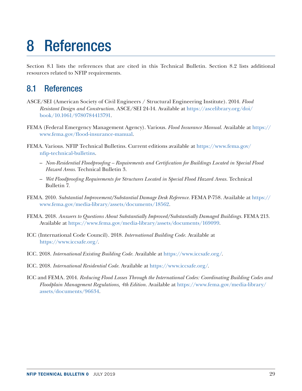## 8 References

Section 8.1 lists the references that are cited in this Technical Bulletin. Section 8.2 lists additional resources related to NFIP requirements.

### 8.1 References

- ASCE/SEI (American Society of Civil Engineers / Structural Engineering Institute). 2014. *Flood Resistant Design and Construction.* ASCE/SEI 24-14. Available at [https://ascelibrary.org/doi/](https://ascelibrary.org/doi/book/10.1061/9780784413791) [book/10.1061/9780784413791](https://ascelibrary.org/doi/book/10.1061/9780784413791).
- FEMA (Federal Emergency Management Agency). Various. *Flood Insurance Manual*. Available at [https://](https://www.fema.gov/flood-insurance-manual) [www.fema.gov/flood-insurance-manual](https://www.fema.gov/flood-insurance-manual).
- FEMA. Various. NFIP Technical Bulletins. Current editions available at [https://www.fema.gov/](https://www.fema.gov/nfip-technical-bulletins) [nfip-technical-bulletins.](https://www.fema.gov/nfip-technical-bulletins)
	- *Non-Residential Floodproofing Requirements and Certification for Buildings Located in Special Flood Hazard Areas.* Technical Bulletin 3.
	- *Wet Floodproofing Requirements for Structures Located in Special Flood Hazard Areas.* Technical Bulletin 7.
- FEMA. 2010. *Substantial Improvement/Substantial Damage Desk Reference.* FEMA P-758. Available at [https://](https://www.fema.gov/media-library/assets/documents/18562) [www.fema.gov/media-library/assets/documents/18562.](https://www.fema.gov/media-library/assets/documents/18562)
- FEMA. 2018. *Answers to Questions About Substantially Improved/Substantially Damaged Buildings.* FEMA 213. Available at [https://www.fema.gov/media-library/assets/documents/169099.](https://www.fema.gov/media-library/assets/documents/169099)
- ICC (International Code Council). 2018. *International Building Code.* Available at <https://www.iccsafe.org/>.
- ICC. 2018. *International Existing Building Code.* Available at <https://www.iccsafe.org/>.
- ICC. 2018. *International Residential Code.* Available at <https://www.iccsafe.org/>.
- ICC and FEMA. 2014. *Reducing Flood Losses Through the International Codes: Coordinating Building Codes and Floodplain Management Regulations, 4th Edition.* Available at [https://www.fema.gov/media-library/](https://www.fema.gov/media-library/assets/documents/96634) [assets/documents/96634](https://www.fema.gov/media-library/assets/documents/96634).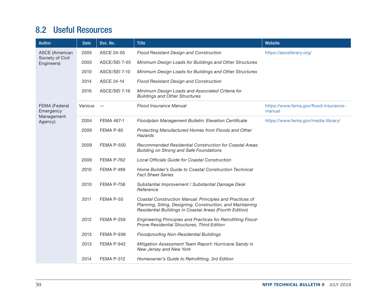### <span id="page-35-0"></span>8.2 Useful Resources

| <b>Author</b>                             | <b>Date</b> | Doc. No.                 | <b>Title</b>                                                                                                                                                                      | Website                                         |
|-------------------------------------------|-------------|--------------------------|-----------------------------------------------------------------------------------------------------------------------------------------------------------------------------------|-------------------------------------------------|
| <b>ASCE</b> (American<br>Society of Civil | 2005        | <b>ASCE 24-05</b>        | Flood Resistant Design and Construction                                                                                                                                           | https://ascelibrary.org/                        |
| Engineers)                                | 2005        | ASCE/SEI 7-05            | Minimum Design Loads for Buildings and Other Structures                                                                                                                           |                                                 |
|                                           | 2010        | ASCE/SEI 7-10            | Minimum Design Loads for Buildings and Other Structures                                                                                                                           |                                                 |
|                                           | 2014        | <b>ASCE 24-14</b>        | Flood Resistant Design and Construction                                                                                                                                           |                                                 |
|                                           | 2016        | ASCE/SEI 7-16            | Minimum Design Loads and Associated Criteria for<br><b>Buildings and Other Structures</b>                                                                                         |                                                 |
| FEMA (Federal<br>Emergency                | Various     | $\overline{\phantom{m}}$ | <b>Flood Insurance Manual</b>                                                                                                                                                     | https://www.fema.gov/flood-insurance-<br>manual |
| Management<br>Agency)                     | 2004        | FEMA 467-1               | Floodplain Management Bulletin: Elevation Certificate                                                                                                                             | https://www.fema.gov/media-library/             |
|                                           | 2009        | FEMA P-85                | Protecting Manufactured Homes from Floods and Other<br><b>Hazards</b>                                                                                                             |                                                 |
|                                           | 2009        | <b>FEMA P-550</b>        | Recommended Residential Construction for Coastal Areas:<br><b>Building on Strong and Safe Foundations</b>                                                                         |                                                 |
|                                           | 2009        | FEMA P-762               | Local Officials Guide for Coastal Construction                                                                                                                                    |                                                 |
|                                           | 2010        | <b>FEMA P 499</b>        | Home Builder's Guide to Coastal Construction Technical<br><b>Fact Sheet Series</b>                                                                                                |                                                 |
|                                           | 2010        | FEMA P-758               | Substantial Improvement / Substantial Damage Desk<br>Reference                                                                                                                    |                                                 |
|                                           | 2011        | FEMA P-55                | Coastal Construction Manual: Principles and Practices of<br>Planning, Siting, Designing, Construction, and Maintaining<br>Residential Buildings in Coastal Areas (Fourth Edition) |                                                 |
|                                           | 2012        | <b>FEMA P-259</b>        | Engineering Principles and Practices for Retrofitting Flood-<br>Prone Residential Structures, Third Edition                                                                       |                                                 |
|                                           | 2013        | FEMA P-936               | <b>Floodproofing Non-Residential Buildings</b>                                                                                                                                    |                                                 |
|                                           | 2013        | FEMA P-942               | Mitigation Assessment Team Report: Hurricane Sandy in<br>New Jersey and New York                                                                                                  |                                                 |
|                                           | 2014        | FEMA P-312               | Homeowner's Guide to Retrofitting, 3rd Edition                                                                                                                                    |                                                 |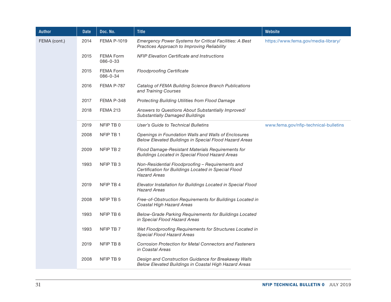| Author       | Date | Doc. No.                     | <b>Title</b>                                                                                                                    | Website                               |
|--------------|------|------------------------------|---------------------------------------------------------------------------------------------------------------------------------|---------------------------------------|
| FEMA (cont.) | 2014 | <b>FEMA P-1019</b>           | Emergency Power Systems for Critical Facilities: A Best<br>Practices Approach to Improving Reliability                          | https://www.fema.gov/media-library/   |
|              | 2015 | <b>FEMA Form</b><br>086-0-33 | <b>NFIP Elevation Certificate and Instructions</b>                                                                              |                                       |
|              | 2015 | <b>FEMA Form</b><br>086-0-34 | <b>Floodproofing Certificate</b>                                                                                                |                                       |
|              | 2016 | FEMA P-787                   | Catalog of FEMA Building Science Branch Publications<br>and Training Courses                                                    |                                       |
|              | 2017 | FEMA P-348                   | Protecting Building Utilities from Flood Damage                                                                                 |                                       |
|              | 2018 | <b>FEMA 213</b>              | Answers to Questions About Substantially Improved/<br><b>Substantially Damaged Buildings</b>                                    |                                       |
|              | 2019 | NFIP TB 0                    | User's Guide to Technical Bulletins                                                                                             | www.fema.gov/nfip-technical-bulletins |
|              | 2008 | NFIP TB 1                    | Openings in Foundation Walls and Walls of Enclosures<br>Below Elevated Buildings in Special Flood Hazard Areas                  |                                       |
|              | 2009 | NFIP TB 2                    | Flood Damage-Resistant Materials Requirements for<br><b>Buildings Located in Special Flood Hazard Areas</b>                     |                                       |
|              | 1993 | NFIP TB 3                    | Non-Residential Floodproofing - Requirements and<br>Certification for Buildings Located in Special Flood<br><b>Hazard Areas</b> |                                       |
|              | 2019 | NFIP TB 4                    | Elevator Installation for Buildings Located in Special Flood<br><b>Hazard Areas</b>                                             |                                       |
|              | 2008 | NFIP TB 5                    | Free-of-Obstruction Requirements for Buildings Located in<br>Coastal High Hazard Areas                                          |                                       |
|              | 1993 | NFIP TB 6                    | Below-Grade Parking Requirements for Buildings Located<br>in Special Flood Hazard Areas                                         |                                       |
|              | 1993 | NFIP TB 7                    | Wet Floodproofing Requirements for Structures Located in<br><b>Special Flood Hazard Areas</b>                                   |                                       |
|              | 2019 | NFIP TB 8                    | Corrosion Protection for Metal Connectors and Fasteners<br>in Coastal Areas                                                     |                                       |
|              | 2008 | NFIP TB 9                    | Design and Construction Guidance for Breakaway Walls<br>Below Elevated Buildings in Coastal High Hazard Areas                   |                                       |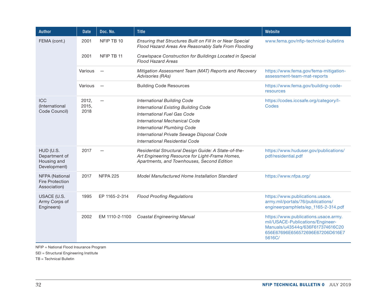| <b>Author</b>                                             | <b>Date</b>            | Doc. No.        | <b>Title</b>                                                                                                                                                                                                                                                                   | Website                                                                                                                                                   |
|-----------------------------------------------------------|------------------------|-----------------|--------------------------------------------------------------------------------------------------------------------------------------------------------------------------------------------------------------------------------------------------------------------------------|-----------------------------------------------------------------------------------------------------------------------------------------------------------|
| FEMA (cont.)                                              | 2001                   | NFIP TB 10      | Ensuring that Structures Built on Fill In or Near Special<br>Flood Hazard Areas Are Reasonably Safe From Flooding                                                                                                                                                              | www.fema.gov/nfip-technical-bulletins                                                                                                                     |
|                                                           | 2001                   | NFIP TB 11      | Crawlspace Construction for Buildings Located in Special<br><b>Flood Hazard Areas</b>                                                                                                                                                                                          |                                                                                                                                                           |
|                                                           | Various                |                 | Mitigation Assessment Team (MAT) Reports and Recovery<br>Advisories (RAs)                                                                                                                                                                                                      | https://www.fema.gov/fema-mitigation-<br>assessment-team-mat-reports                                                                                      |
|                                                           | Various                |                 | <b>Building Code Resources</b>                                                                                                                                                                                                                                                 | https://www.fema.gov/building-code-<br>resources                                                                                                          |
| <b>ICC</b><br>(International<br>Code Council)             | 2012,<br>2015,<br>2018 |                 | <b>International Building Code</b><br><b>International Existing Building Code</b><br><b>International Fuel Gas Code</b><br>International Mechanical Code<br><b>International Plumbing Code</b><br>International Private Sewage Disposal Code<br>International Residential Code | https://codes.iccsafe.org/category/l-<br>Codes                                                                                                            |
| HUD (U.S.<br>Department of<br>Housing and<br>Development) | 2017                   |                 | Residential Structural Design Guide: A State-of-the-<br>Art Engineering Resource for Light-Frame Homes,<br>Apartments, and Townhouses, Second Edition                                                                                                                          | https://www.huduser.gov/publications/<br>pdf/residential.pdf                                                                                              |
| NFPA (National<br><b>Fire Protection</b><br>Association)  | 2017                   | <b>NFPA 225</b> | Model Manufactured Home Installation Standard                                                                                                                                                                                                                                  | https://www.nfpa.org/                                                                                                                                     |
| USACE (U.S.<br>Army Corps of<br>Engineers)                | 1995                   | EP 1165-2-314   | <b>Flood Proofing Regulations</b>                                                                                                                                                                                                                                              | https://www.publications.usace.<br>army.mil/portals/76/publications/<br>engineerpamphlets/ep_1165-2-314.pdf                                               |
|                                                           | 2002                   | EM 1110-2-1100  | <b>Coastal Engineering Manual</b>                                                                                                                                                                                                                                              | https://www.publications.usace.army.<br>mil/USACE-Publications/Engineer-<br>Manuals/u43544q/636F617374616C20<br>656E67696E656572696E67206D616E7<br>5616C/ |

NFIP = National Flood Insurance Program

SEI = Structural Engineering Institute

TB = Technical Bulletin